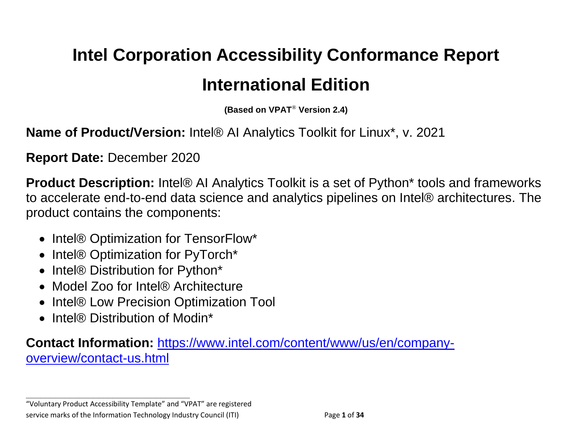# **Intel Corporation Accessibility Conformance Report International Edition**

**(Based on VPAT**® **Version 2.4)**

**Name of Product/Version:** Intel® AI Analytics Toolkit for Linux<sup>\*</sup>, v. 2021

**Report Date:** December 2020

**Product Description:** Intel® AI Analytics Toolkit is a set of Python\* tools and frameworks to accelerate end-to-end data science and analytics pipelines on Intel® architectures. The product contains the components:

- Intel® Optimization for TensorFlow\*
- Intel® Optimization for PyTorch\*
- Intel® Distribution for Python\*
- Model Zoo for Intel® Architecture
- Intel® Low Precision Optimization Tool
- Intel® Distribution of Modin\*

**Contact Information:** [https://www.intel.com/content/www/us/en/company](https://www.intel.com/content/www/us/en/company-overview/contact-us.html)[overview/contact-us.html](https://www.intel.com/content/www/us/en/company-overview/contact-us.html)

"Voluntary Product Accessibility Template" and "VPAT" are registered service marks of the Information Technology Industry Council (ITI) Page **1** of **34**

**\_\_\_\_\_\_\_\_\_\_\_\_\_\_\_\_\_\_\_\_\_\_\_\_\_\_\_\_\_\_\_\_\_\_**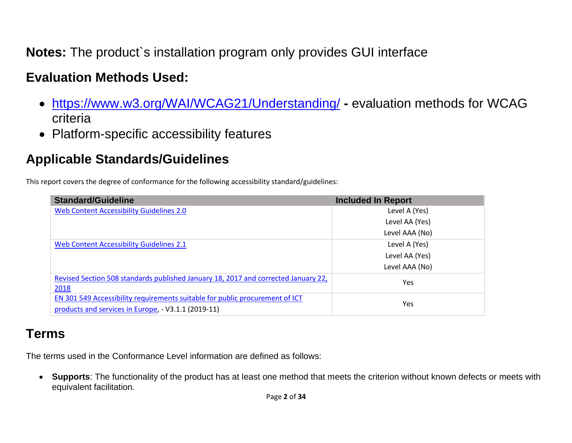**Notes:** The product`s installation program only provides GUI interface

## **Evaluation Methods Used:**

- <https://www.w3.org/WAI/WCAG21/Understanding/> **-** evaluation methods for WCAG criteria
- Platform-specific accessibility features

# **Applicable Standards/Guidelines**

This report covers the degree of conformance for the following accessibility standard/guidelines:

| <b>Standard/Guideline</b>                                                          | <b>Included In Report</b> |  |
|------------------------------------------------------------------------------------|---------------------------|--|
| <b>Web Content Accessibility Guidelines 2.0</b>                                    | Level A (Yes)             |  |
|                                                                                    | Level AA (Yes)            |  |
|                                                                                    | Level AAA (No)            |  |
| Web Content Accessibility Guidelines 2.1                                           | Level A (Yes)             |  |
|                                                                                    | Level AA (Yes)            |  |
|                                                                                    | Level AAA (No)            |  |
| Revised Section 508 standards published January 18, 2017 and corrected January 22, | Yes                       |  |
| 2018                                                                               |                           |  |
| EN 301 549 Accessibility requirements suitable for public procurement of ICT       | Yes                       |  |
| products and services in Europe, - V3.1.1 (2019-11)                                |                           |  |

## **Terms**

The terms used in the Conformance Level information are defined as follows:

• **Supports**: The functionality of the product has at least one method that meets the criterion without known defects or meets with equivalent facilitation.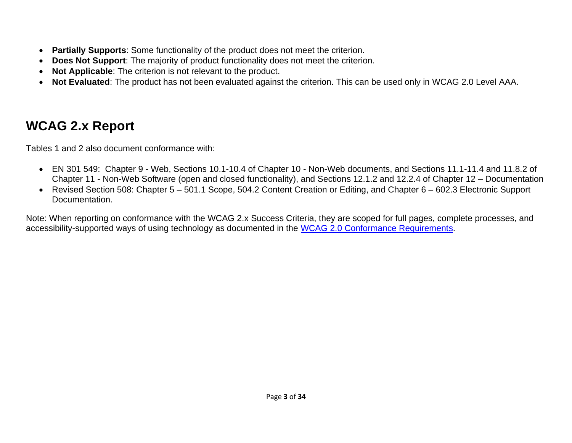- **Partially Supports**: Some functionality of the product does not meet the criterion.
- **Does Not Support**: The majority of product functionality does not meet the criterion.
- **Not Applicable**: The criterion is not relevant to the product.
- **Not Evaluated**: The product has not been evaluated against the criterion. This can be used only in WCAG 2.0 Level AAA.

# <span id="page-2-0"></span>**WCAG 2.x Report**

Tables 1 and 2 also document conformance with:

- EN 301 549: Chapter 9 Web, Sections 10.1-10.4 of Chapter 10 Non-Web documents, and Sections 11.1-11.4 and 11.8.2 of Chapter 11 - Non-Web Software (open and closed functionality), and Sections 12.1.2 and 12.2.4 of Chapter 12 – Documentation
- Revised Section 508: Chapter 5 501.1 Scope, 504.2 Content Creation or Editing, and Chapter 6 602.3 Electronic Support Documentation.

Note: When reporting on conformance with the WCAG 2.x Success Criteria, they are scoped for full pages, complete processes, and accessibility-supported ways of using technology as documented in the [WCAG 2.0 Conformance Requirements.](https://www.w3.org/TR/WCAG20/#conformance-reqs)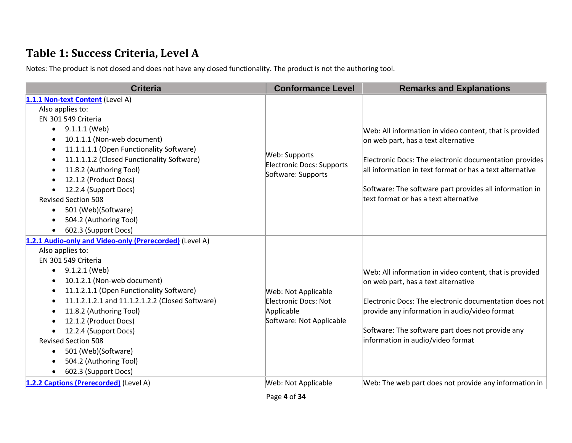## **Table 1: Success Criteria, Level A**

Notes: The product is not closed and does not have any closed functionality. The product is not the authoring tool.

| <b>Criteria</b>                                                                                                                                                                                                                                                                                                                                                                                                                                                              | <b>Conformance Level</b>                                                                     | <b>Remarks and Explanations</b>                                                                                                                                                                                                                                                                                          |
|------------------------------------------------------------------------------------------------------------------------------------------------------------------------------------------------------------------------------------------------------------------------------------------------------------------------------------------------------------------------------------------------------------------------------------------------------------------------------|----------------------------------------------------------------------------------------------|--------------------------------------------------------------------------------------------------------------------------------------------------------------------------------------------------------------------------------------------------------------------------------------------------------------------------|
| 1.1.1 Non-text Content (Level A)<br>Also applies to:<br>EN 301 549 Criteria<br>$\bullet$ 9.1.1.1 (Web)<br>10.1.1.1 (Non-web document)<br>11.1.1.1.1 (Open Functionality Software)<br>11.1.1.1.2 (Closed Functionality Software)<br>11.8.2 (Authoring Tool)<br>$\bullet$<br>12.1.2 (Product Docs)<br>12.2.4 (Support Docs)<br><b>Revised Section 508</b><br>501 (Web)(Software)<br>$\bullet$<br>504.2 (Authoring Tool)<br>602.3 (Support Docs)                                | Web: Supports<br><b>Electronic Docs: Supports</b><br>Software: Supports                      | Web: All information in video content, that is provided<br>on web part, has a text alternative<br>Electronic Docs: The electronic documentation provides<br>all information in text format or has a text alternative<br>Software: The software part provides all information in<br>text format or has a text alternative |
| 1.2.1 Audio-only and Video-only (Prerecorded) (Level A)<br>Also applies to:<br>EN 301 549 Criteria<br>9.1.2.1 (Web)<br>$\bullet$<br>10.1.2.1 (Non-web document)<br>11.1.2.1.1 (Open Functionality Software)<br>11.1.2.1.2.1 and 11.1.2.1.2.2 (Closed Software)<br>11.8.2 (Authoring Tool)<br>12.1.2 (Product Docs)<br>12.2.4 (Support Docs)<br>$\bullet$<br><b>Revised Section 508</b><br>501 (Web)(Software)<br>$\bullet$<br>504.2 (Authoring Tool)<br>602.3 (Support Docs) | Web: Not Applicable<br><b>Electronic Docs: Not</b><br>Applicable<br>Software: Not Applicable | Web: All information in video content, that is provided<br>on web part, has a text alternative<br>Electronic Docs: The electronic documentation does not<br>provide any information in audio/video format<br>Software: The software part does not provide any<br>information in audio/video format                       |
| 1.2.2 Captions (Prerecorded) (Level A)                                                                                                                                                                                                                                                                                                                                                                                                                                       | Web: Not Applicable                                                                          | Web: The web part does not provide any information in                                                                                                                                                                                                                                                                    |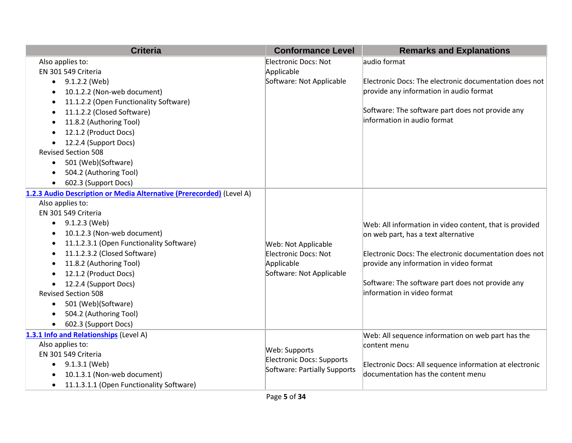| <b>Criteria</b>                                                      | <b>Conformance Level</b>           | <b>Remarks and Explanations</b>                         |
|----------------------------------------------------------------------|------------------------------------|---------------------------------------------------------|
| Also applies to:<br>EN 301 549 Criteria                              | Electronic Docs: Not<br>Applicable | audio format                                            |
| 9.1.2.2 (Web)<br>$\bullet$                                           | Software: Not Applicable           | Electronic Docs: The electronic documentation does not  |
| 10.1.2.2 (Non-web document)                                          |                                    | provide any information in audio format                 |
| 11.1.2.2 (Open Functionality Software)<br>$\bullet$                  |                                    |                                                         |
| 11.1.2.2 (Closed Software)<br>$\bullet$                              |                                    | Software: The software part does not provide any        |
| 11.8.2 (Authoring Tool)                                              |                                    | information in audio format                             |
| 12.1.2 (Product Docs)                                                |                                    |                                                         |
| 12.2.4 (Support Docs)                                                |                                    |                                                         |
| <b>Revised Section 508</b>                                           |                                    |                                                         |
| 501 (Web)(Software)<br>$\bullet$                                     |                                    |                                                         |
| 504.2 (Authoring Tool)<br>$\bullet$                                  |                                    |                                                         |
| 602.3 (Support Docs)<br>$\bullet$                                    |                                    |                                                         |
| 1.2.3 Audio Description or Media Alternative (Prerecorded) (Level A) |                                    |                                                         |
| Also applies to:                                                     |                                    |                                                         |
| EN 301 549 Criteria                                                  |                                    |                                                         |
| $\bullet$ 9.1.2.3 (Web)                                              |                                    | Web: All information in video content, that is provided |
| 10.1.2.3 (Non-web document)<br>$\bullet$                             |                                    | on web part, has a text alternative                     |
| 11.1.2.3.1 (Open Functionality Software)                             | Web: Not Applicable                |                                                         |
| 11.1.2.3.2 (Closed Software)                                         | Electronic Docs: Not               | Electronic Docs: The electronic documentation does not  |
| 11.8.2 (Authoring Tool)                                              | Applicable                         | provide any information in video format                 |
| 12.1.2 (Product Docs)                                                | Software: Not Applicable           |                                                         |
| 12.2.4 (Support Docs)<br>$\bullet$                                   |                                    | Software: The software part does not provide any        |
| <b>Revised Section 508</b>                                           |                                    | information in video format                             |
| 501 (Web)(Software)<br>$\bullet$                                     |                                    |                                                         |
| 504.2 (Authoring Tool)                                               |                                    |                                                         |
| 602.3 (Support Docs)<br>$\bullet$                                    |                                    |                                                         |
| 1.3.1 Info and Relationships (Level A)                               |                                    | Web: All sequence information on web part has the       |
| Also applies to:                                                     | Web: Supports                      | content menu                                            |
| EN 301 549 Criteria                                                  | Electronic Docs: Supports          |                                                         |
| $\bullet$ 9.1.3.1 (Web)                                              | Software: Partially Supports       | Electronic Docs: All sequence information at electronic |
| 10.1.3.1 (Non-web document)                                          |                                    | documentation has the content menu                      |
| 11.1.3.1.1 (Open Functionality Software)                             |                                    |                                                         |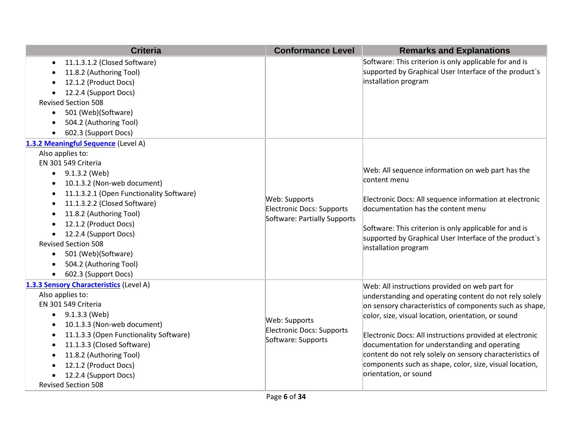| <b>Criteria</b>                                                                                                                                                                                                                                                                                                                                                                                                                       | <b>Conformance Level</b>                                                   | <b>Remarks and Explanations</b>                                                                                                                                                                                                                                                                                                                                                                                                                                                         |
|---------------------------------------------------------------------------------------------------------------------------------------------------------------------------------------------------------------------------------------------------------------------------------------------------------------------------------------------------------------------------------------------------------------------------------------|----------------------------------------------------------------------------|-----------------------------------------------------------------------------------------------------------------------------------------------------------------------------------------------------------------------------------------------------------------------------------------------------------------------------------------------------------------------------------------------------------------------------------------------------------------------------------------|
| 11.1.3.1.2 (Closed Software)<br>$\bullet$<br>11.8.2 (Authoring Tool)<br>12.1.2 (Product Docs)<br>12.2.4 (Support Docs)<br><b>Revised Section 508</b><br>501 (Web)(Software)<br>$\bullet$<br>504.2 (Authoring Tool)<br>602.3 (Support Docs)                                                                                                                                                                                            |                                                                            | Software: This criterion is only applicable for and is<br>supported by Graphical User Interface of the product's<br>installation program                                                                                                                                                                                                                                                                                                                                                |
| 1.3.2 Meaningful Sequence (Level A)<br>Also applies to:<br>EN 301 549 Criteria<br>9.1.3.2 (Web)<br>$\bullet$<br>10.1.3.2 (Non-web document)<br>11.1.3.2.1 (Open Functionality Software)<br>11.1.3.2.2 (Closed Software)<br>11.8.2 (Authoring Tool)<br>12.1.2 (Product Docs)<br>12.2.4 (Support Docs)<br><b>Revised Section 508</b><br>501 (Web)(Software)<br>$\bullet$<br>504.2 (Authoring Tool)<br>602.3 (Support Docs)<br>$\bullet$ | Web: Supports<br>Electronic Docs: Supports<br>Software: Partially Supports | Web: All sequence information on web part has the<br>content menu<br>Electronic Docs: All sequence information at electronic<br>documentation has the content menu<br>Software: This criterion is only applicable for and is<br>supported by Graphical User Interface of the product's<br>installation program                                                                                                                                                                          |
| 1.3.3 Sensory Characteristics (Level A)<br>Also applies to:<br>EN 301 549 Criteria<br>9.1.3.3 (Web)<br>10.1.3.3 (Non-web document)<br>11.1.3.3 (Open Functionality Software)<br>$\bullet$<br>11.1.3.3 (Closed Software)<br>11.8.2 (Authoring Tool)<br>12.1.2 (Product Docs)<br>12.2.4 (Support Docs)<br><b>Revised Section 508</b>                                                                                                    | Web: Supports<br>Electronic Docs: Supports<br>Software: Supports           | Web: All instructions provided on web part for<br>understanding and operating content do not rely solely<br>on sensory characteristics of components such as shape,<br>color, size, visual location, orientation, or sound<br>Electronic Docs: All instructions provided at electronic<br>documentation for understanding and operating<br>content do not rely solely on sensory characteristics of<br>components such as shape, color, size, visual location,<br>orientation, or sound |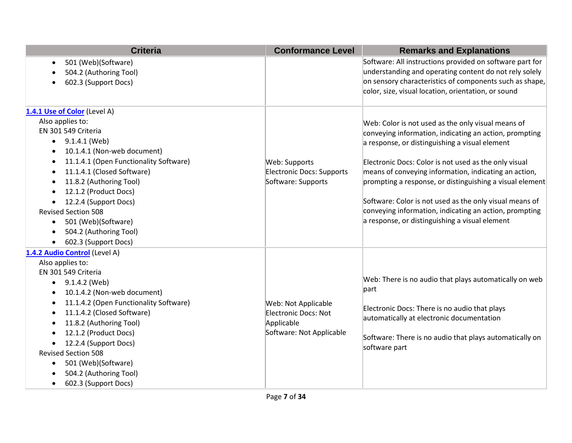| <b>Criteria</b>                                     | <b>Conformance Level</b>  | <b>Remarks and Explanations</b>                          |
|-----------------------------------------------------|---------------------------|----------------------------------------------------------|
| 501 (Web)(Software)<br>$\bullet$                    |                           | Software: All instructions provided on software part for |
| 504.2 (Authoring Tool)                              |                           | understanding and operating content do not rely solely   |
| 602.3 (Support Docs)                                |                           | on sensory characteristics of components such as shape,  |
|                                                     |                           | color, size, visual location, orientation, or sound      |
| 1.4.1 Use of Color (Level A)                        |                           |                                                          |
| Also applies to:                                    |                           | Web: Color is not used as the only visual means of       |
| EN 301 549 Criteria                                 |                           | conveying information, indicating an action, prompting   |
| 9.1.4.1 (Web)<br>$\bullet$                          |                           | a response, or distinguishing a visual element           |
| 10.1.4.1 (Non-web document)<br>$\bullet$            |                           |                                                          |
| 11.1.4.1 (Open Functionality Software)<br>$\bullet$ | Web: Supports             | Electronic Docs: Color is not used as the only visual    |
| 11.1.4.1 (Closed Software)<br>$\bullet$             | Electronic Docs: Supports | means of conveying information, indicating an action,    |
| 11.8.2 (Authoring Tool)<br>$\bullet$                | Software: Supports        | prompting a response, or distinguishing a visual element |
| 12.1.2 (Product Docs)                               |                           |                                                          |
| 12.2.4 (Support Docs)                               |                           | Software: Color is not used as the only visual means of  |
| <b>Revised Section 508</b>                          |                           | conveying information, indicating an action, prompting   |
| 501 (Web)(Software)<br>$\bullet$                    |                           | a response, or distinguishing a visual element           |
| 504.2 (Authoring Tool)<br>$\bullet$                 |                           |                                                          |
| 602.3 (Support Docs)                                |                           |                                                          |
| 1.4.2 Audio Control (Level A)                       |                           |                                                          |
| Also applies to:                                    |                           |                                                          |
| EN 301 549 Criteria                                 |                           |                                                          |
| 9.1.4.2 (Web)<br>$\bullet$                          |                           | Web: There is no audio that plays automatically on web   |
| 10.1.4.2 (Non-web document)<br>$\bullet$            |                           | part                                                     |
| 11.1.4.2 (Open Functionality Software)<br>$\bullet$ | Web: Not Applicable       | Electronic Docs: There is no audio that plays            |
| 11.1.4.2 (Closed Software)<br>$\bullet$             | Electronic Docs: Not      | automatically at electronic documentation                |
| 11.8.2 (Authoring Tool)<br>$\bullet$                | Applicable                |                                                          |
| 12.1.2 (Product Docs)                               | Software: Not Applicable  | Software: There is no audio that plays automatically on  |
| 12.2.4 (Support Docs)                               |                           | software part                                            |
| <b>Revised Section 508</b>                          |                           |                                                          |
| 501 (Web)(Software)<br>$\bullet$                    |                           |                                                          |
| 504.2 (Authoring Tool)                              |                           |                                                          |
| 602.3 (Support Docs)<br>$\bullet$                   |                           |                                                          |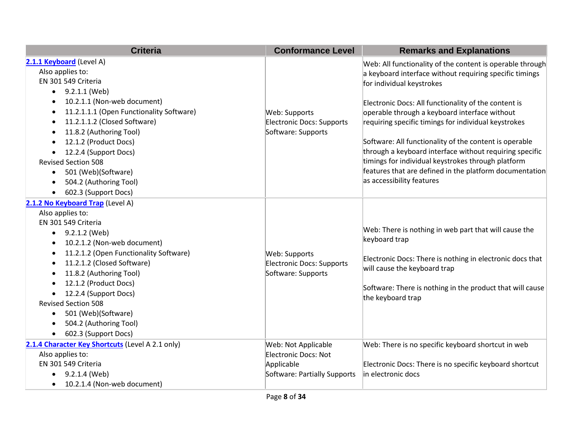| <b>Criteria</b>                                                                                                                                                                                                                                                                                                                                                                                                                                                                                 | <b>Conformance Level</b>                                                                  | <b>Remarks and Explanations</b>                                                                                                                                                                                                                                                                                                                                                                                                                                                                                                                                                       |
|-------------------------------------------------------------------------------------------------------------------------------------------------------------------------------------------------------------------------------------------------------------------------------------------------------------------------------------------------------------------------------------------------------------------------------------------------------------------------------------------------|-------------------------------------------------------------------------------------------|---------------------------------------------------------------------------------------------------------------------------------------------------------------------------------------------------------------------------------------------------------------------------------------------------------------------------------------------------------------------------------------------------------------------------------------------------------------------------------------------------------------------------------------------------------------------------------------|
| 2.1.1 Keyboard (Level A)<br>Also applies to:<br>EN 301 549 Criteria<br>9.2.1.1 (Web)<br>٠<br>10.2.1.1 (Non-web document)<br>$\bullet$<br>11.2.1.1.1 (Open Functionality Software)<br>$\bullet$<br>11.2.1.1.2 (Closed Software)<br>$\bullet$<br>11.8.2 (Authoring Tool)<br>$\bullet$<br>12.1.2 (Product Docs)<br>12.2.4 (Support Docs)<br><b>Revised Section 508</b><br>501 (Web)(Software)<br>$\bullet$<br>504.2 (Authoring Tool)<br>$\bullet$<br>602.3 (Support Docs)                          | Web: Supports<br>Electronic Docs: Supports<br>Software: Supports                          | Web: All functionality of the content is operable through<br>a keyboard interface without requiring specific timings<br>for individual keystrokes<br>Electronic Docs: All functionality of the content is<br>operable through a keyboard interface without<br>requiring specific timings for individual keystrokes<br>Software: All functionality of the content is operable<br>through a keyboard interface without requiring specific<br>timings for individual keystrokes through platform<br>features that are defined in the platform documentation<br>as accessibility features |
| 2.1.2 No Keyboard Trap (Level A)<br>Also applies to:<br>EN 301 549 Criteria<br>9.2.1.2 (Web)<br>$\bullet$<br>10.2.1.2 (Non-web document)<br>$\bullet$<br>11.2.1.2 (Open Functionality Software)<br>$\bullet$<br>11.2.1.2 (Closed Software)<br>$\bullet$<br>11.8.2 (Authoring Tool)<br>$\bullet$<br>12.1.2 (Product Docs)<br>12.2.4 (Support Docs)<br><b>Revised Section 508</b><br>501 (Web)(Software)<br>$\bullet$<br>504.2 (Authoring Tool)<br>$\bullet$<br>602.3 (Support Docs)<br>$\bullet$ | Web: Supports<br>Electronic Docs: Supports<br>Software: Supports                          | Web: There is nothing in web part that will cause the<br>keyboard trap<br>Electronic Docs: There is nothing in electronic docs that<br>will cause the keyboard trap<br>Software: There is nothing in the product that will cause<br>the keyboard trap                                                                                                                                                                                                                                                                                                                                 |
| 2.1.4 Character Key Shortcuts (Level A 2.1 only)<br>Also applies to:<br>EN 301 549 Criteria<br>9.2.1.4 (Web)<br>10.2.1.4 (Non-web document)<br>$\bullet$                                                                                                                                                                                                                                                                                                                                        | Web: Not Applicable<br>Electronic Docs: Not<br>Applicable<br>Software: Partially Supports | Web: There is no specific keyboard shortcut in web<br>Electronic Docs: There is no specific keyboard shortcut<br>lin electronic docs                                                                                                                                                                                                                                                                                                                                                                                                                                                  |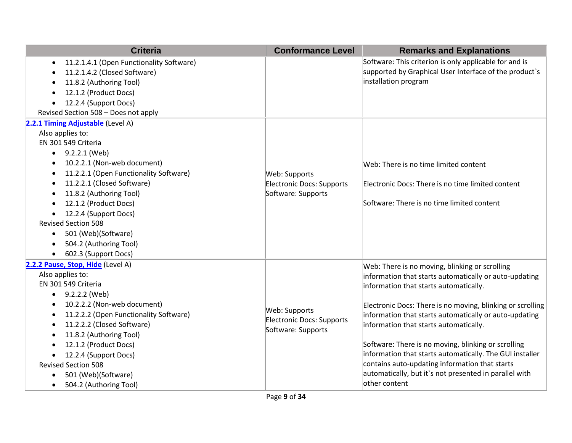| <b>Criteria</b>                                       | <b>Conformance Level</b>  | <b>Remarks and Explanations</b>                            |
|-------------------------------------------------------|---------------------------|------------------------------------------------------------|
| 11.2.1.4.1 (Open Functionality Software)<br>$\bullet$ |                           | Software: This criterion is only applicable for and is     |
| 11.2.1.4.2 (Closed Software)                          |                           | supported by Graphical User Interface of the product's     |
| 11.8.2 (Authoring Tool)                               |                           | installation program                                       |
| 12.1.2 (Product Docs)                                 |                           |                                                            |
| 12.2.4 (Support Docs)                                 |                           |                                                            |
| Revised Section 508 - Does not apply                  |                           |                                                            |
| 2.2.1 Timing Adjustable (Level A)                     |                           |                                                            |
| Also applies to:                                      |                           |                                                            |
| EN 301 549 Criteria                                   |                           |                                                            |
| $\bullet$ 9.2.2.1 (Web)                               |                           |                                                            |
| 10.2.2.1 (Non-web document)<br>$\bullet$              |                           | Web: There is no time limited content                      |
| 11.2.2.1 (Open Functionality Software)                | Web: Supports             |                                                            |
| 11.2.2.1 (Closed Software)<br>٠                       | Electronic Docs: Supports | Electronic Docs: There is no time limited content          |
| 11.8.2 (Authoring Tool)                               | Software: Supports        |                                                            |
| 12.1.2 (Product Docs)                                 |                           | Software: There is no time limited content                 |
| 12.2.4 (Support Docs)<br>$\bullet$                    |                           |                                                            |
| <b>Revised Section 508</b>                            |                           |                                                            |
| 501 (Web)(Software)<br>$\bullet$                      |                           |                                                            |
| 504.2 (Authoring Tool)                                |                           |                                                            |
| 602.3 (Support Docs)<br>$\bullet$                     |                           |                                                            |
| 2.2.2 Pause, Stop, Hide (Level A)                     |                           | Web: There is no moving, blinking or scrolling             |
| Also applies to:                                      |                           | information that starts automatically or auto-updating     |
| EN 301 549 Criteria                                   |                           | information that starts automatically.                     |
| 9.2.2.2 (Web)<br>$\bullet$                            |                           |                                                            |
| 10.2.2.2 (Non-web document)                           | Web: Supports             | Electronic Docs: There is no moving, blinking or scrolling |
| 11.2.2.2 (Open Functionality Software)                | Electronic Docs: Supports | information that starts automatically or auto-updating     |
| 11.2.2.2 (Closed Software)                            | Software: Supports        | information that starts automatically.                     |
| 11.8.2 (Authoring Tool)<br>$\bullet$                  |                           |                                                            |
| 12.1.2 (Product Docs)                                 |                           | Software: There is no moving, blinking or scrolling        |
| 12.2.4 (Support Docs)                                 |                           | information that starts automatically. The GUI installer   |
| <b>Revised Section 508</b>                            |                           | contains auto-updating information that starts             |
| 501 (Web)(Software)                                   |                           | automatically, but it's not presented in parallel with     |
| 504.2 (Authoring Tool)<br>$\bullet$                   |                           | other content                                              |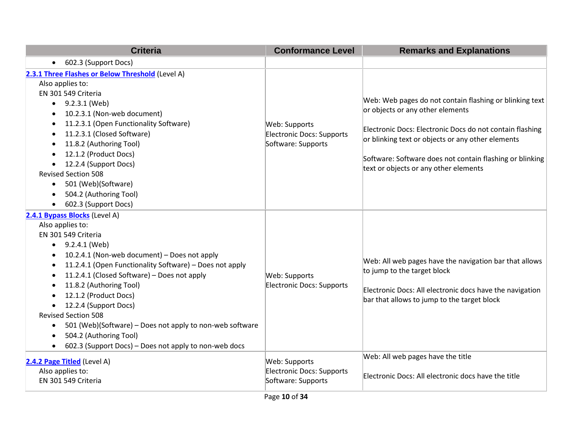| <b>Criteria</b>                                                                                                                                                                                                                                                                                                                                                                                                                                                                                                                                                                                                                 | <b>Conformance Level</b>                                                | <b>Remarks and Explanations</b>                                                                                                                                                                                                                                                                                   |
|---------------------------------------------------------------------------------------------------------------------------------------------------------------------------------------------------------------------------------------------------------------------------------------------------------------------------------------------------------------------------------------------------------------------------------------------------------------------------------------------------------------------------------------------------------------------------------------------------------------------------------|-------------------------------------------------------------------------|-------------------------------------------------------------------------------------------------------------------------------------------------------------------------------------------------------------------------------------------------------------------------------------------------------------------|
| 602.3 (Support Docs)<br>$\bullet$                                                                                                                                                                                                                                                                                                                                                                                                                                                                                                                                                                                               |                                                                         |                                                                                                                                                                                                                                                                                                                   |
| 2.3.1 Three Flashes or Below Threshold (Level A)<br>Also applies to:<br>EN 301 549 Criteria<br>$\bullet$ 9.2.3.1 (Web)<br>10.2.3.1 (Non-web document)<br>11.2.3.1 (Open Functionality Software)<br>$\bullet$<br>11.2.3.1 (Closed Software)<br>$\bullet$<br>11.8.2 (Authoring Tool)<br>$\bullet$<br>12.1.2 (Product Docs)<br>$\bullet$<br>12.2.4 (Support Docs)<br><b>Revised Section 508</b><br>501 (Web)(Software)<br>$\bullet$<br>504.2 (Authoring Tool)<br>$\bullet$<br>602.3 (Support Docs)<br>$\bullet$                                                                                                                    | Web: Supports<br>Electronic Docs: Supports<br>Software: Supports        | Web: Web pages do not contain flashing or blinking text<br>or objects or any other elements<br>Electronic Docs: Electronic Docs do not contain flashing<br>or blinking text or objects or any other elements<br>Software: Software does not contain flashing or blinking<br>text or objects or any other elements |
| 2.4.1 Bypass Blocks (Level A)<br>Also applies to:<br>EN 301 549 Criteria<br>$\bullet$ 9.2.4.1 (Web)<br>10.2.4.1 (Non-web document) - Does not apply<br>$\bullet$<br>11.2.4.1 (Open Functionality Software) - Does not apply<br>$\bullet$<br>11.2.4.1 (Closed Software) - Does not apply<br>$\bullet$<br>11.8.2 (Authoring Tool)<br>$\bullet$<br>12.1.2 (Product Docs)<br>$\bullet$<br>12.2.4 (Support Docs)<br><b>Revised Section 508</b><br>501 (Web)(Software) – Does not apply to non-web software<br>$\bullet$<br>504.2 (Authoring Tool)<br>$\bullet$<br>602.3 (Support Docs) – Does not apply to non-web docs<br>$\bullet$ | Web: Supports<br>Electronic Docs: Supports                              | Web: All web pages have the navigation bar that allows<br>to jump to the target block<br>Electronic Docs: All electronic docs have the navigation<br>bar that allows to jump to the target block                                                                                                                  |
| 2.4.2 Page Titled (Level A)<br>Also applies to:<br>EN 301 549 Criteria                                                                                                                                                                                                                                                                                                                                                                                                                                                                                                                                                          | Web: Supports<br><b>Electronic Docs: Supports</b><br>Software: Supports | Web: All web pages have the title<br>Electronic Docs: All electronic docs have the title                                                                                                                                                                                                                          |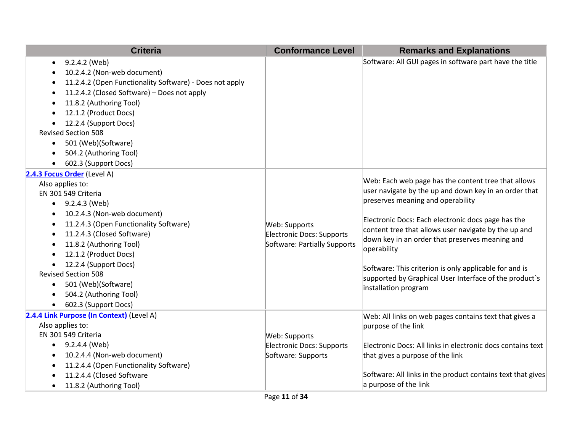| <b>Criteria</b>                                                                                                                                                                                                                                                                                                                                                                                                                        | <b>Conformance Level</b>                                                   | <b>Remarks and Explanations</b>                                                                                                                                                                                                                                                                                                                                                                                                                                               |
|----------------------------------------------------------------------------------------------------------------------------------------------------------------------------------------------------------------------------------------------------------------------------------------------------------------------------------------------------------------------------------------------------------------------------------------|----------------------------------------------------------------------------|-------------------------------------------------------------------------------------------------------------------------------------------------------------------------------------------------------------------------------------------------------------------------------------------------------------------------------------------------------------------------------------------------------------------------------------------------------------------------------|
| 9.2.4.2 (Web)<br>٠<br>10.2.4.2 (Non-web document)<br>11.2.4.2 (Open Functionality Software) - Does not apply<br>11.2.4.2 (Closed Software) - Does not apply<br>$\bullet$<br>11.8.2 (Authoring Tool)<br>12.1.2 (Product Docs)<br>12.2.4 (Support Docs)<br><b>Revised Section 508</b><br>501 (Web)(Software)<br>$\bullet$<br>504.2 (Authoring Tool)<br>602.3 (Support Docs)                                                              |                                                                            | Software: All GUI pages in software part have the title                                                                                                                                                                                                                                                                                                                                                                                                                       |
| 2.4.3 Focus Order (Level A)<br>Also applies to:<br>EN 301 549 Criteria<br>9.2.4.3 (Web)<br>$\bullet$<br>10.2.4.3 (Non-web document)<br>$\bullet$<br>11.2.4.3 (Open Functionality Software)<br>11.2.4.3 (Closed Software)<br>11.8.2 (Authoring Tool)<br>12.1.2 (Product Docs)<br>12.2.4 (Support Docs)<br>$\bullet$<br><b>Revised Section 508</b><br>501 (Web)(Software)<br>$\bullet$<br>504.2 (Authoring Tool)<br>602.3 (Support Docs) | Web: Supports<br>Electronic Docs: Supports<br>Software: Partially Supports | Web: Each web page has the content tree that allows<br>user navigate by the up and down key in an order that<br>preserves meaning and operability<br>Electronic Docs: Each electronic docs page has the<br>content tree that allows user navigate by the up and<br>down key in an order that preserves meaning and<br>operability<br>Software: This criterion is only applicable for and is<br>supported by Graphical User Interface of the product's<br>installation program |
| 2.4.4 Link Purpose (In Context) (Level A)<br>Also applies to:<br>EN 301 549 Criteria<br>$\bullet$ 9.2.4.4 (Web)<br>10.2.4.4 (Non-web document)<br>11.2.4.4 (Open Functionality Software)<br>11.2.4.4 (Closed Software<br>11.8.2 (Authoring Tool)<br>$\bullet$                                                                                                                                                                          | Web: Supports<br>Electronic Docs: Supports<br>Software: Supports           | Web: All links on web pages contains text that gives a<br>purpose of the link<br>Electronic Docs: All links in electronic docs contains text<br>that gives a purpose of the link<br>Software: All links in the product contains text that gives<br>a purpose of the link                                                                                                                                                                                                      |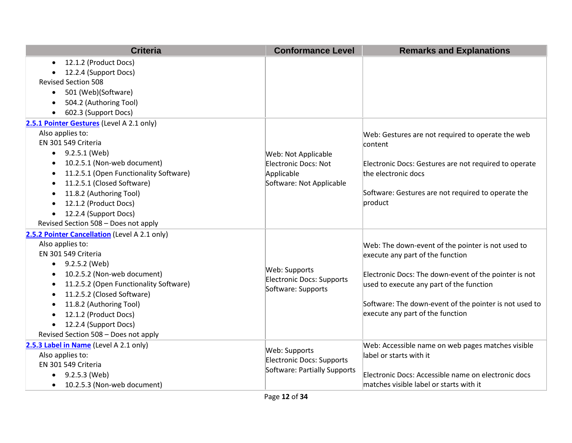| <b>Criteria</b>                               | <b>Conformance Level</b>         | <b>Remarks and Explanations</b>                        |
|-----------------------------------------------|----------------------------------|--------------------------------------------------------|
| 12.1.2 (Product Docs)<br>$\bullet$            |                                  |                                                        |
| 12.2.4 (Support Docs)                         |                                  |                                                        |
| <b>Revised Section 508</b>                    |                                  |                                                        |
| 501 (Web)(Software)<br>$\bullet$              |                                  |                                                        |
| 504.2 (Authoring Tool)<br>$\bullet$           |                                  |                                                        |
| 602.3 (Support Docs)                          |                                  |                                                        |
| 2.5.1 Pointer Gestures (Level A 2.1 only)     |                                  |                                                        |
| Also applies to:                              |                                  | Web: Gestures are not required to operate the web      |
| EN 301 549 Criteria                           |                                  | content                                                |
| $\bullet$ 9.2.5.1 (Web)                       | Web: Not Applicable              |                                                        |
| 10.2.5.1 (Non-web document)                   | Electronic Docs: Not             | Electronic Docs: Gestures are not required to operate  |
| 11.2.5.1 (Open Functionality Software)<br>٠   | Applicable                       | the electronic docs                                    |
| 11.2.5.1 (Closed Software)                    | Software: Not Applicable         |                                                        |
| 11.8.2 (Authoring Tool)                       |                                  | Software: Gestures are not required to operate the     |
| 12.1.2 (Product Docs)<br>$\bullet$            |                                  | product                                                |
| 12.2.4 (Support Docs)<br>$\bullet$            |                                  |                                                        |
| Revised Section 508 - Does not apply          |                                  |                                                        |
| 2.5.2 Pointer Cancellation (Level A 2.1 only) |                                  |                                                        |
| Also applies to:                              |                                  | Web: The down-event of the pointer is not used to      |
| EN 301 549 Criteria                           |                                  | execute any part of the function                       |
| $\bullet$ 9.2.5.2 (Web)                       | Web: Supports                    |                                                        |
| 10.2.5.2 (Non-web document)<br>٠              | <b>Electronic Docs: Supports</b> | Electronic Docs: The down-event of the pointer is not  |
| 11.2.5.2 (Open Functionality Software)        | Software: Supports               | used to execute any part of the function               |
| 11.2.5.2 (Closed Software)                    |                                  |                                                        |
| 11.8.2 (Authoring Tool)<br>$\bullet$          |                                  | Software: The down-event of the pointer is not used to |
| 12.1.2 (Product Docs)                         |                                  | execute any part of the function                       |
| 12.2.4 (Support Docs)<br>$\bullet$            |                                  |                                                        |
| Revised Section 508 - Does not apply          |                                  |                                                        |
| 2.5.3 Label in Name (Level A 2.1 only)        | Web: Supports                    | Web: Accessible name on web pages matches visible      |
| Also applies to:                              | <b>Electronic Docs: Supports</b> | label or starts with it                                |
| EN 301 549 Criteria                           | Software: Partially Supports     |                                                        |
| 9.2.5.3 (Web)<br>$\bullet$                    |                                  | Electronic Docs: Accessible name on electronic docs    |
| 10.2.5.3 (Non-web document)<br>$\bullet$      |                                  | matches visible label or starts with it                |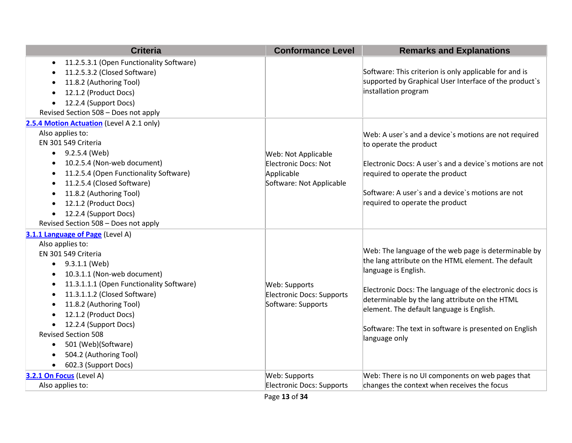| <b>Criteria</b>                                                                                                                                                                                                                                                                                                                                                                                                                                                | <b>Conformance Level</b>                                                              | <b>Remarks and Explanations</b>                                                                                                                                                                                                                                                                                                                                          |
|----------------------------------------------------------------------------------------------------------------------------------------------------------------------------------------------------------------------------------------------------------------------------------------------------------------------------------------------------------------------------------------------------------------------------------------------------------------|---------------------------------------------------------------------------------------|--------------------------------------------------------------------------------------------------------------------------------------------------------------------------------------------------------------------------------------------------------------------------------------------------------------------------------------------------------------------------|
| 11.2.5.3.1 (Open Functionality Software)<br>11.2.5.3.2 (Closed Software)<br>11.8.2 (Authoring Tool)<br>12.1.2 (Product Docs)<br>12.2.4 (Support Docs)<br>$\bullet$<br>Revised Section 508 - Does not apply                                                                                                                                                                                                                                                     |                                                                                       | Software: This criterion is only applicable for and is<br>supported by Graphical User Interface of the product's<br>installation program                                                                                                                                                                                                                                 |
| 2.5.4 Motion Actuation (Level A 2.1 only)<br>Also applies to:<br>EN 301 549 Criteria<br>$\bullet$ 9.2.5.4 (Web)<br>10.2.5.4 (Non-web document)<br>11.2.5.4 (Open Functionality Software)<br>$\bullet$<br>11.2.5.4 (Closed Software)<br>٠<br>11.8.2 (Authoring Tool)<br>12.1.2 (Product Docs)<br>12.2.4 (Support Docs)<br>Revised Section 508 - Does not apply                                                                                                  | Web: Not Applicable<br>Electronic Docs: Not<br>Applicable<br>Software: Not Applicable | Web: A user's and a device's motions are not required<br>to operate the product<br>Electronic Docs: A user's and a device's motions are not<br>required to operate the product<br>Software: A user's and a device's motions are not<br>required to operate the product                                                                                                   |
| 3.1.1 Language of Page (Level A)<br>Also applies to:<br>EN 301 549 Criteria<br>$\bullet$ 9.3.1.1 (Web)<br>10.3.1.1 (Non-web document)<br>11.3.1.1.1 (Open Functionality Software)<br>11.3.1.1.2 (Closed Software)<br>11.8.2 (Authoring Tool)<br>$\bullet$<br>12.1.2 (Product Docs)<br>$\bullet$<br>12.2.4 (Support Docs)<br>$\bullet$<br><b>Revised Section 508</b><br>501 (Web)(Software)<br>٠<br>504.2 (Authoring Tool)<br>602.3 (Support Docs)<br>$\bullet$ | Web: Supports<br>Electronic Docs: Supports<br>Software: Supports                      | Web: The language of the web page is determinable by<br>the lang attribute on the HTML element. The default<br>language is English.<br>Electronic Docs: The language of the electronic docs is<br>determinable by the lang attribute on the HTML<br>element. The default language is English.<br>Software: The text in software is presented on English<br>language only |
| 3.2.1 On Focus (Level A)<br>Also applies to:                                                                                                                                                                                                                                                                                                                                                                                                                   | Web: Supports<br>Electronic Docs: Supports                                            | Web: There is no UI components on web pages that<br>changes the context when receives the focus                                                                                                                                                                                                                                                                          |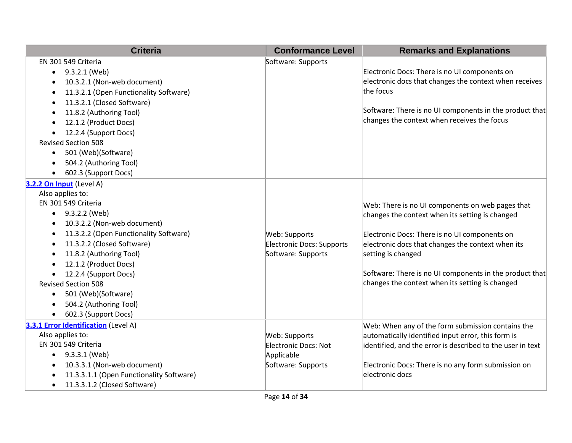| <b>Criteria</b>                          | <b>Conformance Level</b>         | <b>Remarks and Explanations</b>                            |
|------------------------------------------|----------------------------------|------------------------------------------------------------|
| EN 301 549 Criteria                      | Software: Supports               |                                                            |
| 9.3.2.1 (Web)                            |                                  | Electronic Docs: There is no UI components on              |
| 10.3.2.1 (Non-web document)              |                                  | electronic docs that changes the context when receives     |
| 11.3.2.1 (Open Functionality Software)   |                                  | the focus                                                  |
| 11.3.2.1 (Closed Software)               |                                  |                                                            |
| 11.8.2 (Authoring Tool)                  |                                  | Software: There is no UI components in the product that    |
| 12.1.2 (Product Docs)                    |                                  | changes the context when receives the focus                |
| 12.2.4 (Support Docs)                    |                                  |                                                            |
| <b>Revised Section 508</b>               |                                  |                                                            |
| 501 (Web)(Software)<br>$\bullet$         |                                  |                                                            |
| 504.2 (Authoring Tool)                   |                                  |                                                            |
| 602.3 (Support Docs)                     |                                  |                                                            |
| 3.2.2 On Input (Level A)                 |                                  |                                                            |
| Also applies to:                         |                                  |                                                            |
| EN 301 549 Criteria                      |                                  | Web: There is no UI components on web pages that           |
| 9.3.2.2 (Web)<br>$\bullet$               |                                  | changes the context when its setting is changed            |
| 10.3.2.2 (Non-web document)              |                                  |                                                            |
| 11.3.2.2 (Open Functionality Software)   | Web: Supports                    | Electronic Docs: There is no UI components on              |
| 11.3.2.2 (Closed Software)               | <b>Electronic Docs: Supports</b> | electronic docs that changes the context when its          |
| 11.8.2 (Authoring Tool)                  | Software: Supports               | setting is changed                                         |
| 12.1.2 (Product Docs)                    |                                  |                                                            |
| 12.2.4 (Support Docs)                    |                                  | Software: There is no UI components in the product that    |
| <b>Revised Section 508</b>               |                                  | changes the context when its setting is changed            |
| 501 (Web)(Software)<br>$\bullet$         |                                  |                                                            |
| 504.2 (Authoring Tool)                   |                                  |                                                            |
| 602.3 (Support Docs)                     |                                  |                                                            |
| 3.3.1 Error Identification (Level A)     |                                  | Web: When any of the form submission contains the          |
| Also applies to:                         | Web: Supports                    | automatically identified input error, this form is         |
| EN 301 549 Criteria                      | <b>Electronic Docs: Not</b>      | identified, and the error is described to the user in text |
| $\bullet$ 9.3.3.1 (Web)                  | Applicable                       |                                                            |
| 10.3.3.1 (Non-web document)              | Software: Supports               | Electronic Docs: There is no any form submission on        |
| 11.3.3.1.1 (Open Functionality Software) |                                  | electronic docs                                            |
| 11.3.3.1.2 (Closed Software)             |                                  |                                                            |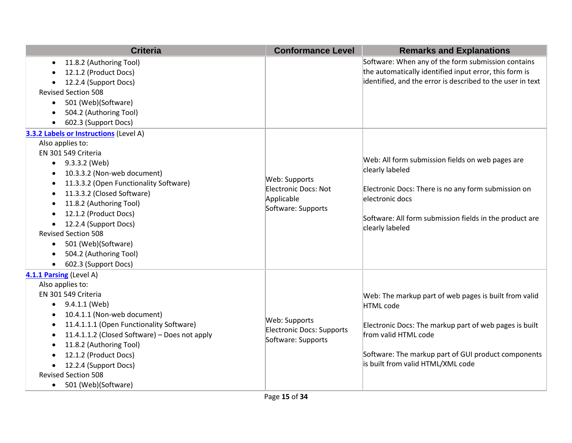| <b>Criteria</b>                                                                                                                                                                                                                                                                                                                                                                                                                                                                                                 | <b>Conformance Level</b>                                                         | <b>Remarks and Explanations</b>                                                                                                                                                                                                                  |
|-----------------------------------------------------------------------------------------------------------------------------------------------------------------------------------------------------------------------------------------------------------------------------------------------------------------------------------------------------------------------------------------------------------------------------------------------------------------------------------------------------------------|----------------------------------------------------------------------------------|--------------------------------------------------------------------------------------------------------------------------------------------------------------------------------------------------------------------------------------------------|
| 11.8.2 (Authoring Tool)<br>$\bullet$<br>12.1.2 (Product Docs)<br>12.2.4 (Support Docs)<br><b>Revised Section 508</b><br>501 (Web)(Software)<br>$\bullet$<br>504.2 (Authoring Tool)<br>602.3 (Support Docs)                                                                                                                                                                                                                                                                                                      |                                                                                  | Software: When any of the form submission contains<br>the automatically identified input error, this form is<br>identified, and the error is described to the user in text                                                                       |
| 3.3.2 Labels or Instructions (Level A)<br>Also applies to:<br>EN 301 549 Criteria<br>$\bullet$ 9.3.3.2 (Web)<br>10.3.3.2 (Non-web document)<br>$\bullet$<br>11.3.3.2 (Open Functionality Software)<br>$\bullet$<br>11.3.3.2 (Closed Software)<br>$\bullet$<br>11.8.2 (Authoring Tool)<br>$\bullet$<br>12.1.2 (Product Docs)<br>$\bullet$<br>12.2.4 (Support Docs)<br>$\bullet$<br><b>Revised Section 508</b><br>501 (Web)(Software)<br>$\bullet$<br>504.2 (Authoring Tool)<br>602.3 (Support Docs)<br>$\bullet$ | Web: Supports<br><b>Electronic Docs: Not</b><br>Applicable<br>Software: Supports | Web: All form submission fields on web pages are<br>clearly labeled<br>Electronic Docs: There is no any form submission on<br>electronic docs<br>Software: All form submission fields in the product are<br>clearly labeled                      |
| 4.1.1 Parsing (Level A)<br>Also applies to:<br>EN 301 549 Criteria<br>9.4.1.1 (Web)<br>$\bullet$<br>10.4.1.1 (Non-web document)<br>$\bullet$<br>11.4.1.1.1 (Open Functionality Software)<br>$\bullet$<br>11.4.1.1.2 (Closed Software) - Does not apply<br>$\bullet$<br>11.8.2 (Authoring Tool)<br>$\bullet$<br>12.1.2 (Product Docs)<br>12.2.4 (Support Docs)<br><b>Revised Section 508</b><br>501 (Web)(Software)<br>$\bullet$                                                                                 | Web: Supports<br>Electronic Docs: Supports<br>Software: Supports                 | Web: The markup part of web pages is built from valid<br>HTML code<br>Electronic Docs: The markup part of web pages is built<br>from valid HTML code<br>Software: The markup part of GUI product components<br>is built from valid HTML/XML code |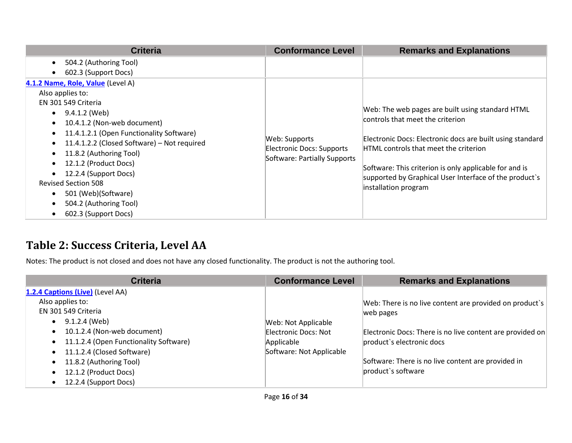| <b>Criteria</b>                                                                                                                                                                                                                                                                                                                                                                                                                                                              | <b>Conformance Level</b>                                                   | <b>Remarks and Explanations</b>                                                                                                                                                                                                                                                                                                        |
|------------------------------------------------------------------------------------------------------------------------------------------------------------------------------------------------------------------------------------------------------------------------------------------------------------------------------------------------------------------------------------------------------------------------------------------------------------------------------|----------------------------------------------------------------------------|----------------------------------------------------------------------------------------------------------------------------------------------------------------------------------------------------------------------------------------------------------------------------------------------------------------------------------------|
| 504.2 (Authoring Tool)<br>$\bullet$<br>602.3 (Support Docs)<br>$\bullet$                                                                                                                                                                                                                                                                                                                                                                                                     |                                                                            |                                                                                                                                                                                                                                                                                                                                        |
| 4.1.2 Name, Role, Value (Level A)<br>Also applies to:<br>EN 301 549 Criteria<br>9.4.1.2 (Web)<br>$\bullet$<br>10.4.1.2 (Non-web document)<br>$\bullet$<br>11.4.1.2.1 (Open Functionality Software)<br>$\bullet$<br>11.4.1.2.2 (Closed Software) - Not required<br>11.8.2 (Authoring Tool)<br>$\bullet$<br>12.1.2 (Product Docs)<br>12.2.4 (Support Docs)<br><b>Revised Section 508</b><br>501 (Web)(Software)<br>$\bullet$<br>504.2 (Authoring Tool)<br>602.3 (Support Docs) | Web: Supports<br>Electronic Docs: Supports<br>Software: Partially Supports | Web: The web pages are built using standard HTML<br>controls that meet the criterion<br>Electronic Docs: Electronic docs are built using standard<br>HTML controls that meet the criterion<br>Software: This criterion is only applicable for and is<br>supported by Graphical User Interface of the product's<br>installation program |

## **Table 2: Success Criteria, Level AA**

Notes: The product is not closed and does not have any closed functionality. The product is not the authoring tool.

| <b>Criteria</b>                        | <b>Conformance Level</b> | <b>Remarks and Explanations</b>                           |
|----------------------------------------|--------------------------|-----------------------------------------------------------|
| 1.2.4 Captions (Live) (Level AA)       |                          |                                                           |
| Also applies to:                       |                          | Web: There is no live content are provided on product's   |
| EN 301 549 Criteria                    |                          | web pages                                                 |
| 9.1.2.4 (Web)                          | Web: Not Applicable      |                                                           |
| 10.1.2.4 (Non-web document)            | Electronic Docs: Not     | Electronic Docs: There is no live content are provided on |
| 11.1.2.4 (Open Functionality Software) | Applicable               | product's electronic docs                                 |
| 11.1.2.4 (Closed Software)             | Software: Not Applicable |                                                           |
| 11.8.2 (Authoring Tool)                |                          | Software: There is no live content are provided in        |
| 12.1.2 (Product Docs)                  |                          | product's software                                        |
| 12.2.4 (Support Docs)                  |                          |                                                           |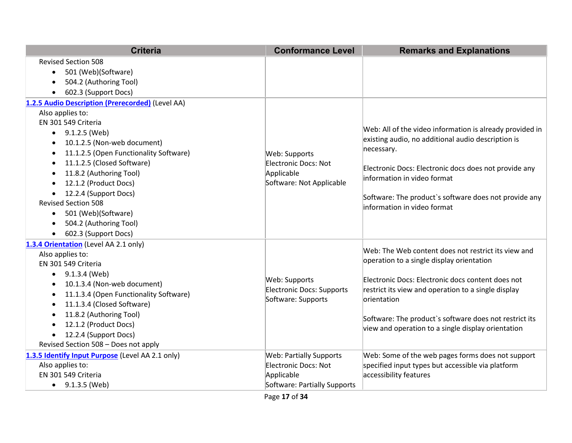| <b>Revised Section 508</b><br>501 (Web)(Software)<br>$\bullet$<br>504.2 (Authoring Tool)<br>$\bullet$<br>602.3 (Support Docs)<br>$\bullet$<br>1.2.5 Audio Description (Prerecorded) (Level AA)<br>Also applies to:<br>EN 301 549 Criteria<br>9.1.2.5 (Web)<br>10.1.2.5 (Non-web document)<br>$\bullet$<br>necessary.<br>11.1.2.5 (Open Functionality Software)<br>Web: Supports<br>$\bullet$<br>11.1.2.5 (Closed Software)<br>Electronic Docs: Not<br>$\bullet$<br>11.8.2 (Authoring Tool)<br>Applicable<br>$\bullet$<br>information in video format<br>Software: Not Applicable<br>12.1.2 (Product Docs)<br>$\bullet$<br>12.2.4 (Support Docs)<br>$\bullet$<br><b>Revised Section 508</b><br>information in video format<br>501 (Web)(Software)<br>$\bullet$<br>504.2 (Authoring Tool)<br>$\bullet$<br>602.3 (Support Docs)<br>$\bullet$<br>1.3.4 Orientation (Level AA 2.1 only)<br>Also applies to:<br>EN 301 549 Criteria<br>9.1.3.4 (Web)<br>$\bullet$<br>Web: Supports<br>10.1.3.4 (Non-web document)<br>$\bullet$<br>Electronic Docs: Supports<br>11.1.3.4 (Open Functionality Software)<br>$\bullet$<br>Software: Supports<br>orientation<br>11.1.3.4 (Closed Software)<br>$\bullet$<br>11.8.2 (Authoring Tool)<br>$\bullet$<br>12.1.2 (Product Docs)<br>$\bullet$<br>12.2.4 (Support Docs)<br>$\bullet$<br>Revised Section 508 - Does not apply<br>1.3.5 Identify Input Purpose (Level AA 2.1 only)<br><b>Web: Partially Supports</b> | <b>Criteria</b>  | <b>Conformance Level</b> | <b>Remarks and Explanations</b>                                                                                                                                                                                                                                                                                                                                                                                                        |
|------------------------------------------------------------------------------------------------------------------------------------------------------------------------------------------------------------------------------------------------------------------------------------------------------------------------------------------------------------------------------------------------------------------------------------------------------------------------------------------------------------------------------------------------------------------------------------------------------------------------------------------------------------------------------------------------------------------------------------------------------------------------------------------------------------------------------------------------------------------------------------------------------------------------------------------------------------------------------------------------------------------------------------------------------------------------------------------------------------------------------------------------------------------------------------------------------------------------------------------------------------------------------------------------------------------------------------------------------------------------------------------------------------------------------------------------|------------------|--------------------------|----------------------------------------------------------------------------------------------------------------------------------------------------------------------------------------------------------------------------------------------------------------------------------------------------------------------------------------------------------------------------------------------------------------------------------------|
|                                                                                                                                                                                                                                                                                                                                                                                                                                                                                                                                                                                                                                                                                                                                                                                                                                                                                                                                                                                                                                                                                                                                                                                                                                                                                                                                                                                                                                                |                  |                          |                                                                                                                                                                                                                                                                                                                                                                                                                                        |
|                                                                                                                                                                                                                                                                                                                                                                                                                                                                                                                                                                                                                                                                                                                                                                                                                                                                                                                                                                                                                                                                                                                                                                                                                                                                                                                                                                                                                                                |                  |                          | Web: All of the video information is already provided in<br>existing audio, no additional audio description is<br>Electronic Docs: Electronic docs does not provide any<br>Software: The product's software does not provide any                                                                                                                                                                                                       |
| accessibility features<br>EN 301 549 Criteria<br>Applicable                                                                                                                                                                                                                                                                                                                                                                                                                                                                                                                                                                                                                                                                                                                                                                                                                                                                                                                                                                                                                                                                                                                                                                                                                                                                                                                                                                                    | Also applies to: | Electronic Docs: Not     | Web: The Web content does not restrict its view and<br>operation to a single display orientation<br>Electronic Docs: Electronic docs content does not<br>restrict its view and operation to a single display<br>Software: The product's software does not restrict its<br>view and operation to a single display orientation<br>Web: Some of the web pages forms does not support<br>specified input types but accessible via platform |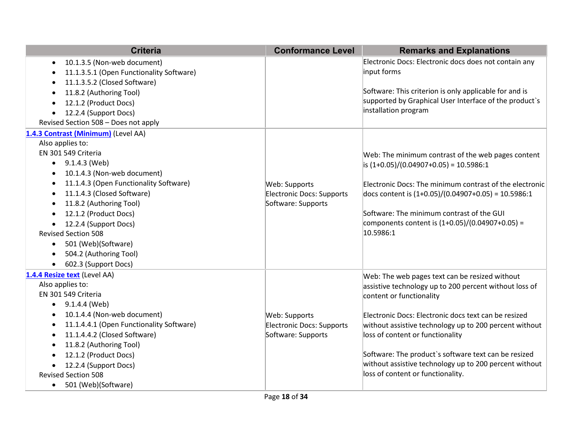| <b>Criteria</b>                                       | <b>Conformance Level</b>  | <b>Remarks and Explanations</b>                         |
|-------------------------------------------------------|---------------------------|---------------------------------------------------------|
| 10.1.3.5 (Non-web document)<br>٠                      |                           | Electronic Docs: Electronic docs does not contain any   |
| 11.1.3.5.1 (Open Functionality Software)              |                           | input forms                                             |
| 11.1.3.5.2 (Closed Software)                          |                           |                                                         |
| 11.8.2 (Authoring Tool)<br>$\bullet$                  |                           | Software: This criterion is only applicable for and is  |
| 12.1.2 (Product Docs)                                 |                           | supported by Graphical User Interface of the product's  |
| 12.2.4 (Support Docs)                                 |                           | installation program                                    |
| Revised Section 508 - Does not apply                  |                           |                                                         |
| 1.4.3 Contrast (Minimum) (Level AA)                   |                           |                                                         |
| Also applies to:                                      |                           |                                                         |
| EN 301 549 Criteria                                   |                           | Web: The minimum contrast of the web pages content      |
| $\bullet$ 9.1.4.3 (Web)                               |                           | $\vert$ is (1+0.05)/(0.04907+0.05) = 10.5986:1          |
| 10.1.4.3 (Non-web document)                           |                           |                                                         |
| 11.1.4.3 (Open Functionality Software)                | Web: Supports             | Electronic Docs: The minimum contrast of the electronic |
| 11.1.4.3 (Closed Software)                            | Electronic Docs: Supports | docs content is $(1+0.05)/(0.04907+0.05) = 10.5986:1$   |
| 11.8.2 (Authoring Tool)                               | Software: Supports        |                                                         |
| 12.1.2 (Product Docs)                                 |                           | Software: The minimum contrast of the GUI               |
| 12.2.4 (Support Docs)                                 |                           | components content is $(1+0.05)/(0.04907+0.05)$ =       |
| <b>Revised Section 508</b>                            |                           | 10.5986:1                                               |
| 501 (Web)(Software)<br>$\bullet$                      |                           |                                                         |
| 504.2 (Authoring Tool)                                |                           |                                                         |
| 602.3 (Support Docs)<br>$\bullet$                     |                           |                                                         |
| 1.4.4 Resize text (Level AA)                          |                           | Web: The web pages text can be resized without          |
| Also applies to:                                      |                           | assistive technology up to 200 percent without loss of  |
| EN 301 549 Criteria                                   |                           | content or functionality                                |
| 9.1.4.4 (Web)                                         |                           |                                                         |
| 10.1.4.4 (Non-web document)                           | Web: Supports             | Electronic Docs: Electronic docs text can be resized    |
| 11.1.4.4.1 (Open Functionality Software)<br>$\bullet$ | Electronic Docs: Supports | without assistive technology up to 200 percent without  |
| 11.1.4.4.2 (Closed Software)                          | Software: Supports        | loss of content or functionality                        |
| 11.8.2 (Authoring Tool)                               |                           |                                                         |
| 12.1.2 (Product Docs)                                 |                           | Software: The product's software text can be resized    |
| 12.2.4 (Support Docs)                                 |                           | without assistive technology up to 200 percent without  |
| <b>Revised Section 508</b>                            |                           | loss of content or functionality.                       |
| 501 (Web)(Software)<br>$\bullet$                      |                           |                                                         |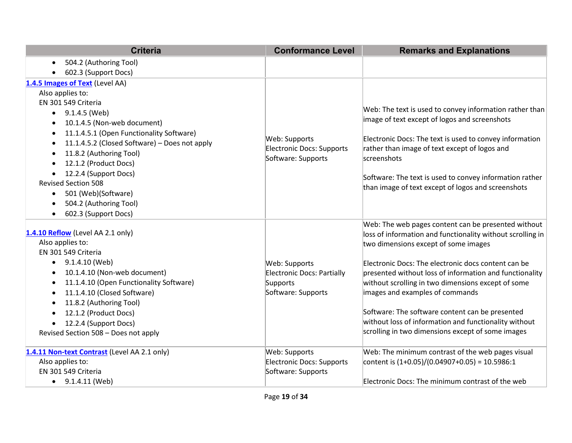| <b>Criteria</b>                                            | <b>Conformance Level</b>          | <b>Remarks and Explanations</b>                                                                          |
|------------------------------------------------------------|-----------------------------------|----------------------------------------------------------------------------------------------------------|
| 504.2 (Authoring Tool)<br>$\bullet$                        |                                   |                                                                                                          |
| 602.3 (Support Docs)                                       |                                   |                                                                                                          |
| 1.4.5 Images of Text (Level AA)                            |                                   |                                                                                                          |
| Also applies to:                                           |                                   |                                                                                                          |
| EN 301 549 Criteria                                        |                                   |                                                                                                          |
| 9.1.4.5 (Web)<br>$\bullet$                                 |                                   | Web: The text is used to convey information rather than<br>image of text except of logos and screenshots |
| 10.1.4.5 (Non-web document)<br>$\bullet$                   |                                   |                                                                                                          |
| 11.1.4.5.1 (Open Functionality Software)<br>$\bullet$      | Web: Supports                     | Electronic Docs: The text is used to convey information                                                  |
| 11.1.4.5.2 (Closed Software) - Does not apply<br>$\bullet$ | <b>Electronic Docs: Supports</b>  | rather than image of text except of logos and                                                            |
| 11.8.2 (Authoring Tool)                                    | Software: Supports                | screenshots                                                                                              |
| 12.1.2 (Product Docs)<br>$\bullet$                         |                                   |                                                                                                          |
| 12.2.4 (Support Docs)                                      |                                   | Software: The text is used to convey information rather                                                  |
| <b>Revised Section 508</b>                                 |                                   | than image of text except of logos and screenshots                                                       |
| 501 (Web)(Software)<br>$\bullet$                           |                                   |                                                                                                          |
| 504.2 (Authoring Tool)                                     |                                   |                                                                                                          |
| 602.3 (Support Docs)                                       |                                   |                                                                                                          |
| 1.4.10 Reflow (Level AA 2.1 only)                          |                                   | Web: The web pages content can be presented without                                                      |
| Also applies to:                                           |                                   | loss of information and functionality without scrolling in<br>two dimensions except of some images       |
| EN 301 549 Criteria                                        |                                   |                                                                                                          |
| 9.1.4.10 (Web)<br>$\bullet$                                | Web: Supports                     | Electronic Docs: The electronic docs content can be                                                      |
| 10.1.4.10 (Non-web document)<br>$\bullet$                  | <b>Electronic Docs: Partially</b> | presented without loss of information and functionality                                                  |
| 11.1.4.10 (Open Functionality Software)<br>$\bullet$       | Supports                          | without scrolling in two dimensions except of some                                                       |
| 11.1.4.10 (Closed Software)<br>$\bullet$                   | Software: Supports                | images and examples of commands                                                                          |
| 11.8.2 (Authoring Tool)<br>$\bullet$                       |                                   |                                                                                                          |
| 12.1.2 (Product Docs)                                      |                                   | Software: The software content can be presented                                                          |
| 12.2.4 (Support Docs)                                      |                                   | without loss of information and functionality without                                                    |
| Revised Section 508 - Does not apply                       |                                   | scrolling in two dimensions except of some images                                                        |
|                                                            |                                   |                                                                                                          |
| 1.4.11 Non-text Contrast (Level AA 2.1 only)               | Web: Supports                     | Web: The minimum contrast of the web pages visual                                                        |
| Also applies to:                                           | <b>Electronic Docs: Supports</b>  | content is $(1+0.05)/(0.04907+0.05) = 10.5986:1$                                                         |
| EN 301 549 Criteria                                        | Software: Supports                |                                                                                                          |
| $\bullet$ 9.1.4.11 (Web)                                   |                                   | Electronic Docs: The minimum contrast of the web                                                         |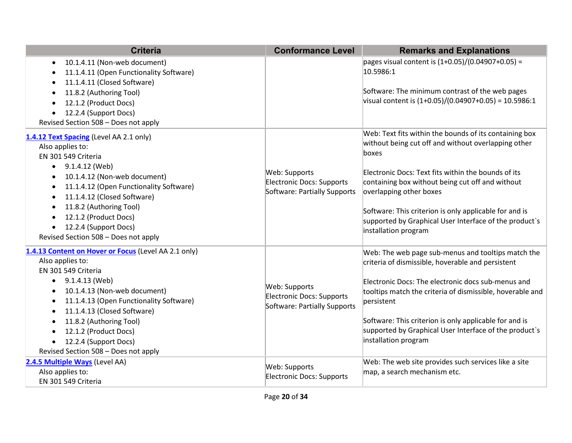| <b>Criteria</b>                                                                                                                                                                                                                                                                                                                                                      | <b>Conformance Level</b>                                                   | <b>Remarks and Explanations</b>                                                                                                                                                                                                                                                                                                                                                                          |
|----------------------------------------------------------------------------------------------------------------------------------------------------------------------------------------------------------------------------------------------------------------------------------------------------------------------------------------------------------------------|----------------------------------------------------------------------------|----------------------------------------------------------------------------------------------------------------------------------------------------------------------------------------------------------------------------------------------------------------------------------------------------------------------------------------------------------------------------------------------------------|
| 10.1.4.11 (Non-web document)<br>$\bullet$<br>11.1.4.11 (Open Functionality Software)<br>11.1.4.11 (Closed Software)<br>11.8.2 (Authoring Tool)<br>12.1.2 (Product Docs)<br>12.2.4 (Support Docs)<br>Revised Section 508 - Does not apply                                                                                                                             |                                                                            | pages visual content is $(1+0.05)/(0.04907+0.05)$ =<br>10.5986:1<br>Software: The minimum contrast of the web pages<br>visual content is $(1+0.05)/(0.04907+0.05) = 10.5986:1$                                                                                                                                                                                                                           |
| 1.4.12 Text Spacing (Level AA 2.1 only)<br>Also applies to:<br>EN 301 549 Criteria<br>$\bullet$ 9.1.4.12 (Web)<br>10.1.4.12 (Non-web document)<br>11.1.4.12 (Open Functionality Software)<br>11.1.4.12 (Closed Software)<br>11.8.2 (Authoring Tool)<br>$\bullet$<br>12.1.2 (Product Docs)<br>12.2.4 (Support Docs)<br>Revised Section 508 - Does not apply           | Web: Supports<br>Electronic Docs: Supports<br>Software: Partially Supports | Web: Text fits within the bounds of its containing box<br>without being cut off and without overlapping other<br>boxes<br>Electronic Docs: Text fits within the bounds of its<br>containing box without being cut off and without<br>overlapping other boxes<br>Software: This criterion is only applicable for and is<br>supported by Graphical User Interface of the product's<br>installation program |
| 1.4.13 Content on Hover or Focus (Level AA 2.1 only)<br>Also applies to:<br>EN 301 549 Criteria<br>$\bullet$ 9.1.4.13 (Web)<br>10.1.4.13 (Non-web document)<br>11.1.4.13 (Open Functionality Software)<br>٠<br>11.1.4.13 (Closed Software)<br>11.8.2 (Authoring Tool)<br>٠<br>12.1.2 (Product Docs)<br>12.2.4 (Support Docs)<br>Revised Section 508 - Does not apply | Web: Supports<br>Electronic Docs: Supports<br>Software: Partially Supports | Web: The web page sub-menus and tooltips match the<br>criteria of dismissible, hoverable and persistent<br>Electronic Docs: The electronic docs sub-menus and<br>tooltips match the criteria of dismissible, hoverable and<br>persistent<br>Software: This criterion is only applicable for and is<br>supported by Graphical User Interface of the product's<br>installation program                     |
| 2.4.5 Multiple Ways (Level AA)<br>Also applies to:<br>EN 301 549 Criteria                                                                                                                                                                                                                                                                                            | Web: Supports<br>Electronic Docs: Supports                                 | Web: The web site provides such services like a site<br>map, a search mechanism etc.                                                                                                                                                                                                                                                                                                                     |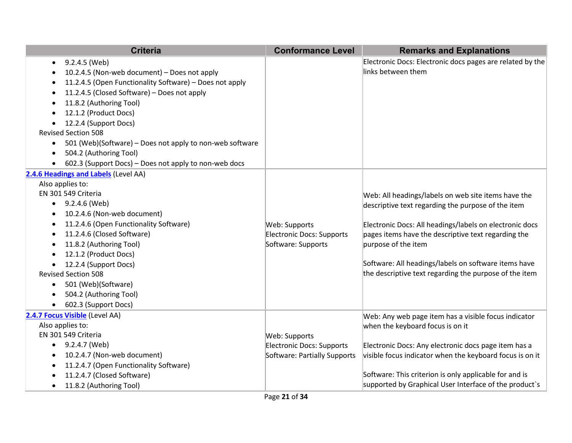| <b>Criteria</b>                                                                                                                                                                                                                                                                                                                                                                                                                                             | <b>Conformance Level</b>                                                   | <b>Remarks and Explanations</b>                                                                                                                                                                                                                                                                                                                                      |
|-------------------------------------------------------------------------------------------------------------------------------------------------------------------------------------------------------------------------------------------------------------------------------------------------------------------------------------------------------------------------------------------------------------------------------------------------------------|----------------------------------------------------------------------------|----------------------------------------------------------------------------------------------------------------------------------------------------------------------------------------------------------------------------------------------------------------------------------------------------------------------------------------------------------------------|
| 9.2.4.5 (Web)<br>10.2.4.5 (Non-web document) - Does not apply<br>11.2.4.5 (Open Functionality Software) - Does not apply<br>11.2.4.5 (Closed Software) - Does not apply<br>$\bullet$<br>11.8.2 (Authoring Tool)<br>12.1.2 (Product Docs)<br>12.2.4 (Support Docs)<br><b>Revised Section 508</b><br>501 (Web)(Software) – Does not apply to non-web software<br>$\bullet$<br>504.2 (Authoring Tool)<br>602.3 (Support Docs) - Does not apply to non-web docs |                                                                            | Electronic Docs: Electronic docs pages are related by the<br>links between them                                                                                                                                                                                                                                                                                      |
| 2.4.6 Headings and Labels (Level AA)<br>Also applies to:<br>EN 301 549 Criteria<br>9.2.4.6 (Web)<br>$\bullet$<br>10.2.4.6 (Non-web document)<br>11.2.4.6 (Open Functionality Software)<br>11.2.4.6 (Closed Software)<br>$\bullet$<br>11.8.2 (Authoring Tool)<br>12.1.2 (Product Docs)<br>12.2.4 (Support Docs)<br><b>Revised Section 508</b><br>501 (Web)(Software)<br>$\bullet$<br>504.2 (Authoring Tool)<br>602.3 (Support Docs)                          | Web: Supports<br>Electronic Docs: Supports<br>Software: Supports           | Web: All headings/labels on web site items have the<br>descriptive text regarding the purpose of the item<br>Electronic Docs: All headings/labels on electronic docs<br>pages items have the descriptive text regarding the<br>purpose of the item<br>Software: All headings/labels on software items have<br>the descriptive text regarding the purpose of the item |
| 2.4.7 Focus Visible (Level AA)<br>Also applies to:<br>EN 301 549 Criteria<br>9.2.4.7 (Web)<br>$\bullet$<br>10.2.4.7 (Non-web document)<br>11.2.4.7 (Open Functionality Software)<br>11.2.4.7 (Closed Software)<br>11.8.2 (Authoring Tool)<br>$\bullet$                                                                                                                                                                                                      | Web: Supports<br>Electronic Docs: Supports<br>Software: Partially Supports | Web: Any web page item has a visible focus indicator<br>when the keyboard focus is on it<br>Electronic Docs: Any electronic docs page item has a<br>visible focus indicator when the keyboard focus is on it<br>Software: This criterion is only applicable for and is<br>supported by Graphical User Interface of the product's                                     |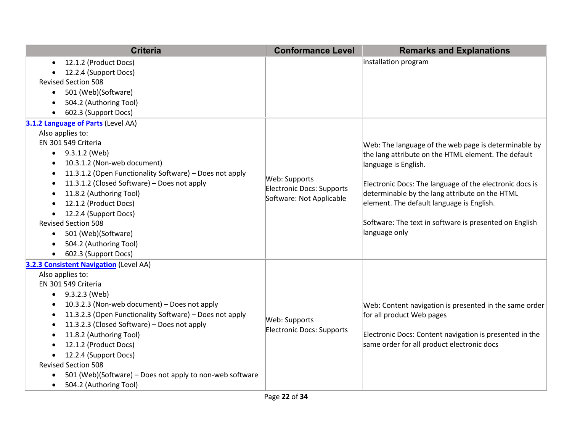|           | <b>Criteria</b>                                          | <b>Conformance Level</b>  | <b>Remarks and Explanations</b>                         |
|-----------|----------------------------------------------------------|---------------------------|---------------------------------------------------------|
| $\bullet$ | 12.1.2 (Product Docs)                                    |                           | installation program                                    |
|           | 12.2.4 (Support Docs)                                    |                           |                                                         |
|           | <b>Revised Section 508</b>                               |                           |                                                         |
| $\bullet$ | 501 (Web)(Software)                                      |                           |                                                         |
|           | 504.2 (Authoring Tool)                                   |                           |                                                         |
| $\bullet$ | 602.3 (Support Docs)                                     |                           |                                                         |
|           | 3.1.2 Language of Parts (Level AA)                       |                           |                                                         |
|           | Also applies to:                                         |                           |                                                         |
|           | EN 301 549 Criteria                                      |                           | Web: The language of the web page is determinable by    |
|           | $\bullet$ 9.3.1.2 (Web)                                  |                           | the lang attribute on the HTML element. The default     |
| $\bullet$ | 10.3.1.2 (Non-web document)                              |                           | language is English.                                    |
| $\bullet$ | 11.3.1.2 (Open Functionality Software) - Does not apply  | Web: Supports             |                                                         |
| $\bullet$ | 11.3.1.2 (Closed Software) - Does not apply              | Electronic Docs: Supports | Electronic Docs: The language of the electronic docs is |
| $\bullet$ | 11.8.2 (Authoring Tool)                                  | Software: Not Applicable  | determinable by the lang attribute on the HTML          |
|           | 12.1.2 (Product Docs)                                    |                           | element. The default language is English.               |
| $\bullet$ | 12.2.4 (Support Docs)                                    |                           |                                                         |
|           | <b>Revised Section 508</b>                               |                           | Software: The text in software is presented on English  |
| $\bullet$ | 501 (Web)(Software)                                      |                           | language only                                           |
| $\bullet$ | 504.2 (Authoring Tool)                                   |                           |                                                         |
| $\bullet$ | 602.3 (Support Docs)                                     |                           |                                                         |
|           | <b>3.2.3 Consistent Navigation (Level AA)</b>            |                           |                                                         |
|           | Also applies to:                                         |                           |                                                         |
|           | EN 301 549 Criteria                                      |                           |                                                         |
| $\bullet$ | 9.3.2.3 (Web)                                            |                           |                                                         |
| $\bullet$ | 10.3.2.3 (Non-web document) - Does not apply             |                           | Web: Content navigation is presented in the same order  |
| $\bullet$ | 11.3.2.3 (Open Functionality Software) - Does not apply  | Web: Supports             | for all product Web pages                               |
| $\bullet$ | 11.3.2.3 (Closed Software) - Does not apply              | Electronic Docs: Supports |                                                         |
| $\bullet$ | 11.8.2 (Authoring Tool)                                  |                           | Electronic Docs: Content navigation is presented in the |
|           | 12.1.2 (Product Docs)                                    |                           | same order for all product electronic docs              |
|           | 12.2.4 (Support Docs)                                    |                           |                                                         |
|           | <b>Revised Section 508</b>                               |                           |                                                         |
| $\bullet$ | 501 (Web)(Software) – Does not apply to non-web software |                           |                                                         |
| $\bullet$ | 504.2 (Authoring Tool)                                   |                           |                                                         |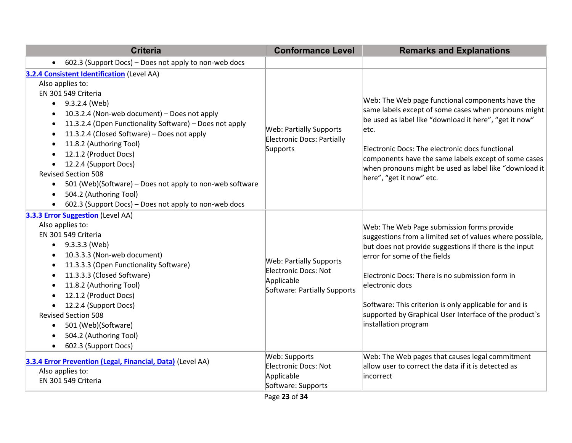| <b>Criteria</b>                                                                                                                                                                                                                                                                                                                                                                                                                                                                                                                                                                               | <b>Conformance Level</b>                                                                             | <b>Remarks and Explanations</b>                                                                                                                                                                                                                                                                                                                                                                                    |
|-----------------------------------------------------------------------------------------------------------------------------------------------------------------------------------------------------------------------------------------------------------------------------------------------------------------------------------------------------------------------------------------------------------------------------------------------------------------------------------------------------------------------------------------------------------------------------------------------|------------------------------------------------------------------------------------------------------|--------------------------------------------------------------------------------------------------------------------------------------------------------------------------------------------------------------------------------------------------------------------------------------------------------------------------------------------------------------------------------------------------------------------|
| 602.3 (Support Docs) - Does not apply to non-web docs                                                                                                                                                                                                                                                                                                                                                                                                                                                                                                                                         |                                                                                                      |                                                                                                                                                                                                                                                                                                                                                                                                                    |
| 3.2.4 Consistent Identification (Level AA)<br>Also applies to:<br>EN 301 549 Criteria<br>$\bullet$ 9.3.2.4 (Web)<br>10.3.2.4 (Non-web document) - Does not apply<br>11.3.2.4 (Open Functionality Software) - Does not apply<br>11.3.2.4 (Closed Software) - Does not apply<br>11.8.2 (Authoring Tool)<br>٠<br>12.1.2 (Product Docs)<br>$\bullet$<br>12.2.4 (Support Docs)<br>$\bullet$<br><b>Revised Section 508</b><br>501 (Web)(Software) – Does not apply to non-web software<br>$\bullet$<br>504.2 (Authoring Tool)<br>$\bullet$<br>602.3 (Support Docs) - Does not apply to non-web docs | <b>Web: Partially Supports</b><br>Electronic Docs: Partially<br>Supports                             | Web: The Web page functional components have the<br>same labels except of some cases when pronouns might<br>be used as label like "download it here", "get it now"<br>letc.<br>Electronic Docs: The electronic docs functional<br>components have the same labels except of some cases<br>when pronouns might be used as label like "download it<br>here", "get it now" etc.                                       |
| 3.3.3 Error Suggestion (Level AA)<br>Also applies to:<br>EN 301 549 Criteria<br>$\bullet$ 9.3.3.3 (Web)<br>10.3.3.3 (Non-web document)<br>٠<br>11.3.3.3 (Open Functionality Software)<br>11.3.3.3 (Closed Software)<br>11.8.2 (Authoring Tool)<br>$\bullet$<br>12.1.2 (Product Docs)<br>12.2.4 (Support Docs)<br>$\bullet$<br><b>Revised Section 508</b><br>501 (Web)(Software)<br>٠<br>504.2 (Authoring Tool)<br>602.3 (Support Docs)<br>$\bullet$                                                                                                                                           | <b>Web: Partially Supports</b><br>Electronic Docs: Not<br>Applicable<br>Software: Partially Supports | Web: The Web Page submission forms provide<br>suggestions from a limited set of values where possible,<br>but does not provide suggestions if there is the input<br>error for some of the fields<br>Electronic Docs: There is no submission form in<br>electronic docs<br>Software: This criterion is only applicable for and is<br>supported by Graphical User Interface of the product's<br>installation program |
| 3.3.4 Error Prevention (Legal, Financial, Data) (Level AA)<br>Also applies to:<br>EN 301 549 Criteria                                                                                                                                                                                                                                                                                                                                                                                                                                                                                         | Web: Supports<br>Electronic Docs: Not<br>Applicable<br>Software: Supports                            | Web: The Web pages that causes legal commitment<br>allow user to correct the data if it is detected as<br>lincorrect                                                                                                                                                                                                                                                                                               |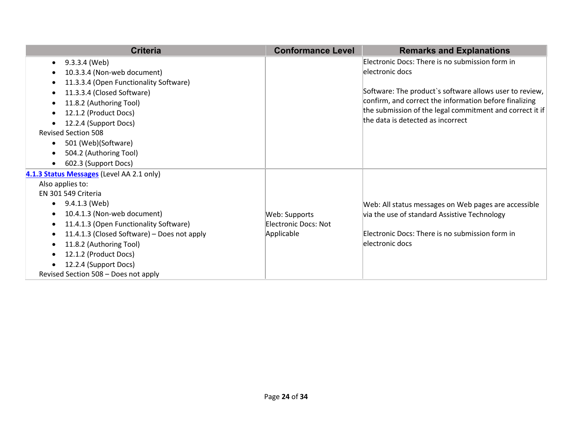<span id="page-23-0"></span>

| <b>Criteria</b>                                     | <b>Conformance Level</b> | <b>Remarks and Explanations</b>                          |
|-----------------------------------------------------|--------------------------|----------------------------------------------------------|
| 9.3.3.4 (Web)<br>$\bullet$                          |                          | Electronic Docs: There is no submission form in          |
| 10.3.3.4 (Non-web document)                         |                          | electronic docs                                          |
| 11.3.3.4 (Open Functionality Software)<br>$\bullet$ |                          |                                                          |
| 11.3.3.4 (Closed Software)<br>$\bullet$             |                          | Software: The product's software allows user to review,  |
| 11.8.2 (Authoring Tool)<br>$\bullet$                |                          | confirm, and correct the information before finalizing   |
| 12.1.2 (Product Docs)                               |                          | the submission of the legal commitment and correct it if |
| 12.2.4 (Support Docs)                               |                          | the data is detected as incorrect                        |
| <b>Revised Section 508</b>                          |                          |                                                          |
| 501 (Web)(Software)<br>$\bullet$                    |                          |                                                          |
| 504.2 (Authoring Tool)<br>$\bullet$                 |                          |                                                          |
| 602.3 (Support Docs)<br>$\bullet$                   |                          |                                                          |
| 4.1.3 Status Messages (Level AA 2.1 only)           |                          |                                                          |
| Also applies to:                                    |                          |                                                          |
| EN 301 549 Criteria                                 |                          |                                                          |
| 9.4.1.3 (Web)<br>$\bullet$                          |                          | Web: All status messages on Web pages are accessible     |
| 10.4.1.3 (Non-web document)<br>$\bullet$            | Web: Supports            | via the use of standard Assistive Technology             |
| 11.4.1.3 (Open Functionality Software)<br>$\bullet$ | Electronic Docs: Not     |                                                          |
| 11.4.1.3 (Closed Software) – Does not apply<br>٠    | Applicable               | Electronic Docs: There is no submission form in          |
| 11.8.2 (Authoring Tool)<br>$\bullet$                |                          | electronic docs                                          |
| 12.1.2 (Product Docs)<br>$\bullet$                  |                          |                                                          |
| 12.2.4 (Support Docs)                               |                          |                                                          |
| Revised Section 508 - Does not apply                |                          |                                                          |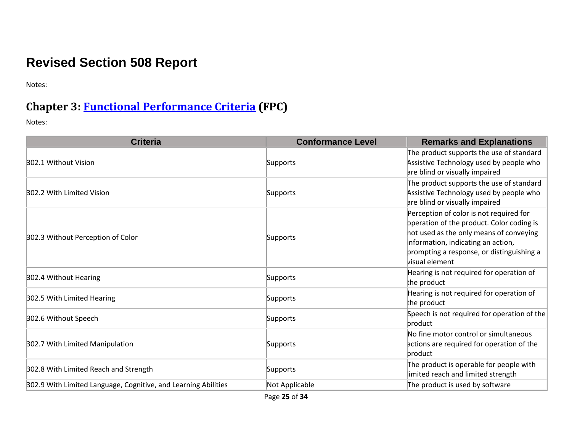# **Revised Section 508 Report**

Notes:

## **Chapter 3: [Functional Performance Criteria](https://www.access-board.gov/guidelines-and-standards/communications-and-it/about-the-ict-refresh/final-rule/text-of-the-standards-and-guidelines#302-functional-performance-criteria) (FPC)**

| <b>Criteria</b>                                                | <b>Conformance Level</b> | <b>Remarks and Explanations</b>                                                                                                                                                                                                      |
|----------------------------------------------------------------|--------------------------|--------------------------------------------------------------------------------------------------------------------------------------------------------------------------------------------------------------------------------------|
| 302.1 Without Vision                                           | Supports                 | The product supports the use of standard<br>Assistive Technology used by people who<br>are blind or visually impaired                                                                                                                |
| 302.2 With Limited Vision                                      | Supports                 | The product supports the use of standard<br>Assistive Technology used by people who<br>are blind or visually impaired                                                                                                                |
| 302.3 Without Perception of Color                              | Supports                 | Perception of color is not required for<br>operation of the product. Color coding is<br>not used as the only means of conveying<br>information, indicating an action,<br>prompting a response, or distinguishing a<br>visual element |
| 302.4 Without Hearing                                          | Supports                 | Hearing is not required for operation of<br>the product                                                                                                                                                                              |
| 302.5 With Limited Hearing                                     | Supports                 | Hearing is not required for operation of<br>the product                                                                                                                                                                              |
| 302.6 Without Speech                                           | Supports                 | Speech is not required for operation of the<br>product                                                                                                                                                                               |
| 302.7 With Limited Manipulation                                | Supports                 | No fine motor control or simultaneous<br>actions are required for operation of the<br>product                                                                                                                                        |
| 302.8 With Limited Reach and Strength                          | Supports                 | The product is operable for people with<br>limited reach and limited strength                                                                                                                                                        |
| 302.9 With Limited Language, Cognitive, and Learning Abilities | Not Applicable           | The product is used by software                                                                                                                                                                                                      |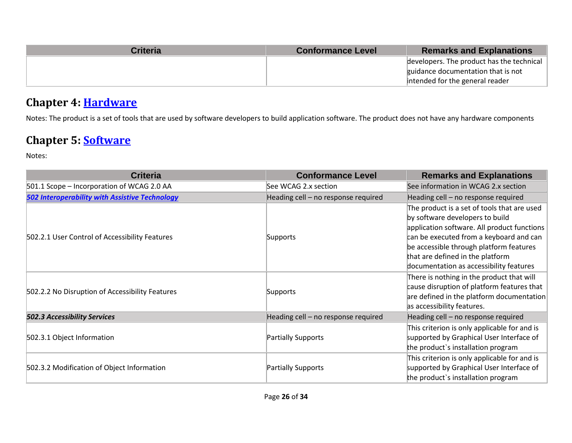| <b>Criteria</b> | <b>Conformance Level</b> | <b>Remarks and Explanations</b>           |
|-----------------|--------------------------|-------------------------------------------|
|                 |                          | developers. The product has the technical |
|                 |                          | guidance documentation that is not        |
|                 |                          | intended for the general reader           |

## **Chapter 4: [Hardware](https://www.access-board.gov/guidelines-and-standards/communications-and-it/about-the-ict-refresh/final-rule/text-of-the-standards-and-guidelines#401-general)**

Notes: The product is a set of tools that are used by software developers to build application software. The product does not have any hardware components

## **Chapter 5: [Software](https://www.access-board.gov/guidelines-and-standards/communications-and-it/about-the-ict-refresh/final-rule/text-of-the-standards-and-guidelines#501-general)**

| <b>Criteria</b>                                       | <b>Conformance Level</b>            | <b>Remarks and Explanations</b>                                                                                                                                                                                                                                                                    |
|-------------------------------------------------------|-------------------------------------|----------------------------------------------------------------------------------------------------------------------------------------------------------------------------------------------------------------------------------------------------------------------------------------------------|
| 501.1 Scope - Incorporation of WCAG 2.0 AA            | See WCAG 2.x section                | See information in WCAG 2.x section                                                                                                                                                                                                                                                                |
| <b>502 Interoperability with Assistive Technology</b> | Heading cell - no response required | Heading cell - no response required                                                                                                                                                                                                                                                                |
| 502.2.1 User Control of Accessibility Features        | Supports                            | The product is a set of tools that are used<br>by software developers to build<br>application software. All product functions<br>can be executed from a keyboard and can<br>be accessible through platform features<br>that are defined in the platform<br>documentation as accessibility features |
| 502.2.2 No Disruption of Accessibility Features       | Supports                            | There is nothing in the product that will<br>cause disruption of platform features that<br>are defined in the platform documentation<br>as accessibility features.                                                                                                                                 |
| <b>502.3 Accessibility Services</b>                   | Heading cell - no response required | Heading cell - no response required                                                                                                                                                                                                                                                                |
| 502.3.1 Object Information                            | Partially Supports                  | This criterion is only applicable for and is<br>supported by Graphical User Interface of<br>the product's installation program                                                                                                                                                                     |
| 502.3.2 Modification of Object Information            | Partially Supports                  | This criterion is only applicable for and is<br>supported by Graphical User Interface of<br>the product's installation program                                                                                                                                                                     |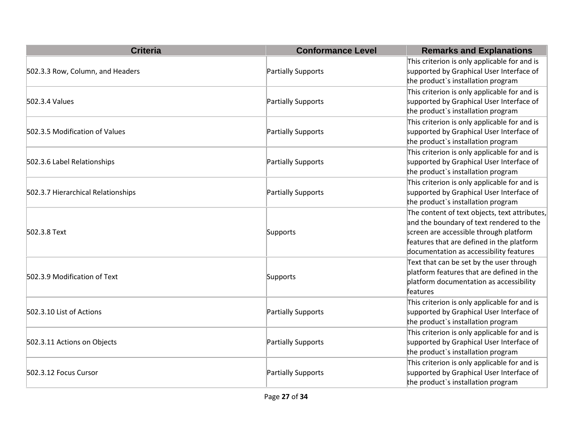| <b>Criteria</b>                    | <b>Conformance Level</b> | <b>Remarks and Explanations</b>                                                                                                                                                                                             |
|------------------------------------|--------------------------|-----------------------------------------------------------------------------------------------------------------------------------------------------------------------------------------------------------------------------|
| 502.3.3 Row, Column, and Headers   | Partially Supports       | This criterion is only applicable for and is<br>supported by Graphical User Interface of<br>the product's installation program                                                                                              |
| 502.3.4 Values                     | Partially Supports       | This criterion is only applicable for and is<br>supported by Graphical User Interface of<br>the product's installation program                                                                                              |
| 502.3.5 Modification of Values     | Partially Supports       | This criterion is only applicable for and is<br>supported by Graphical User Interface of<br>the product's installation program                                                                                              |
| 502.3.6 Label Relationships        | Partially Supports       | This criterion is only applicable for and is<br>supported by Graphical User Interface of<br>the product's installation program                                                                                              |
| 502.3.7 Hierarchical Relationships | Partially Supports       | This criterion is only applicable for and is<br>supported by Graphical User Interface of<br>the product's installation program                                                                                              |
| 502.3.8 Text                       | Supports                 | The content of text objects, text attributes,<br>and the boundary of text rendered to the<br>screen are accessible through platform<br>features that are defined in the platform<br>documentation as accessibility features |
| 502.3.9 Modification of Text       | Supports                 | Text that can be set by the user through<br>platform features that are defined in the<br>platform documentation as accessibility<br>features                                                                                |
| 502.3.10 List of Actions           | Partially Supports       | This criterion is only applicable for and is<br>supported by Graphical User Interface of<br>the product's installation program                                                                                              |
| 502.3.11 Actions on Objects        | Partially Supports       | This criterion is only applicable for and is<br>supported by Graphical User Interface of<br>the product's installation program                                                                                              |
| 502.3.12 Focus Cursor              | Partially Supports       | This criterion is only applicable for and is<br>supported by Graphical User Interface of<br>the product's installation program                                                                                              |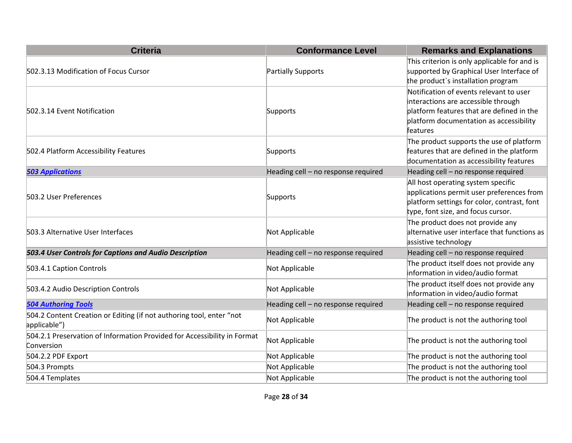| <b>Criteria</b>                                                                        | <b>Conformance Level</b>            | <b>Remarks and Explanations</b>                                                                                                                                                    |
|----------------------------------------------------------------------------------------|-------------------------------------|------------------------------------------------------------------------------------------------------------------------------------------------------------------------------------|
| 502.3.13 Modification of Focus Cursor                                                  | Partially Supports                  | This criterion is only applicable for and is<br>supported by Graphical User Interface of<br>the product's installation program                                                     |
| 502.3.14 Event Notification                                                            | Supports                            | Notification of events relevant to user<br>interactions are accessible through<br>platform features that are defined in the<br>platform documentation as accessibility<br>features |
| 502.4 Platform Accessibility Features                                                  | Supports                            | The product supports the use of platform<br>features that are defined in the platform<br>documentation as accessibility features                                                   |
| <b>503 Applications</b>                                                                | Heading cell - no response required | Heading cell - no response required                                                                                                                                                |
| 503.2 User Preferences                                                                 | Supports                            | All host operating system specific<br>applications permit user preferences from<br>platform settings for color, contrast, font<br>type, font size, and focus cursor.               |
| 503.3 Alternative User Interfaces                                                      | Not Applicable                      | The product does not provide any<br>alternative user interface that functions as<br>assistive technology                                                                           |
| 503.4 User Controls for Captions and Audio Description                                 | Heading cell - no response required | Heading cell - no response required                                                                                                                                                |
| 503.4.1 Caption Controls                                                               | Not Applicable                      | The product itself does not provide any<br>information in video/audio format                                                                                                       |
| 503.4.2 Audio Description Controls                                                     | Not Applicable                      | The product itself does not provide any<br>information in video/audio format                                                                                                       |
| <b>504 Authoring Tools</b>                                                             | Heading cell - no response required | Heading cell - no response required                                                                                                                                                |
| 504.2 Content Creation or Editing (if not authoring tool, enter "not<br>applicable")   | Not Applicable                      | The product is not the authoring tool                                                                                                                                              |
| 504.2.1 Preservation of Information Provided for Accessibility in Format<br>Conversion | Not Applicable                      | The product is not the authoring tool                                                                                                                                              |
| 504.2.2 PDF Export                                                                     | Not Applicable                      | The product is not the authoring tool                                                                                                                                              |
| 504.3 Prompts                                                                          | Not Applicable                      | The product is not the authoring tool                                                                                                                                              |
| 504.4 Templates                                                                        | Not Applicable                      | The product is not the authoring tool                                                                                                                                              |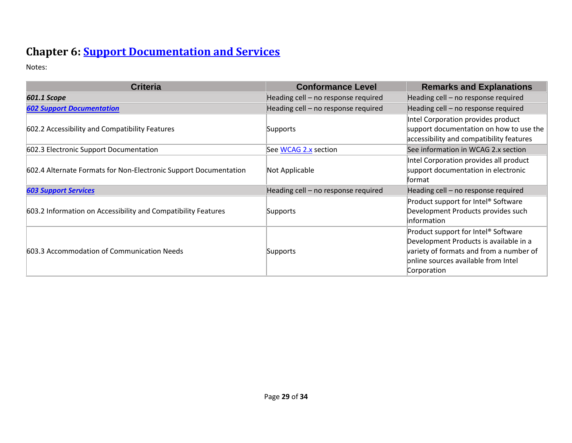# **Chapter 6: [Support Documentation and Services](https://www.access-board.gov/guidelines-and-standards/communications-and-it/about-the-ict-refresh/final-rule/text-of-the-standards-and-guidelines#601-general)**

| <b>Criteria</b>                                                  | <b>Conformance Level</b>            | <b>Remarks and Explanations</b>                 |
|------------------------------------------------------------------|-------------------------------------|-------------------------------------------------|
| 601.1 Scope                                                      | Heading cell – no response required | Heading cell - no response required             |
| <b>602 Support Documentation</b>                                 | Heading cell - no response required | Heading cell - no response required             |
|                                                                  |                                     | Intel Corporation provides product              |
| 602.2 Accessibility and Compatibility Features                   | Supports                            | support documentation on how to use the         |
|                                                                  |                                     | accessibility and compatibility features        |
| 602.3 Electronic Support Documentation                           | See WCAG 2.x section                | See information in WCAG 2.x section             |
|                                                                  |                                     | Intel Corporation provides all product          |
| 602.4 Alternate Formats for Non-Electronic Support Documentation | Not Applicable                      | support documentation in electronic             |
|                                                                  |                                     | format                                          |
| <b>603 Support Services</b>                                      | Heading cell - no response required | Heading cell - no response required             |
|                                                                  |                                     | Product support for Intel <sup>®</sup> Software |
| 603.2 Information on Accessibility and Compatibility Features    | Supports                            | Development Products provides such              |
|                                                                  |                                     | information                                     |
|                                                                  |                                     | Product support for Intel <sup>®</sup> Software |
| 603.3 Accommodation of Communication Needs                       | Supports                            | Development Products is available in a          |
|                                                                  |                                     | variety of formats and from a number of         |
|                                                                  |                                     | online sources available from Intel             |
|                                                                  |                                     | Corporation                                     |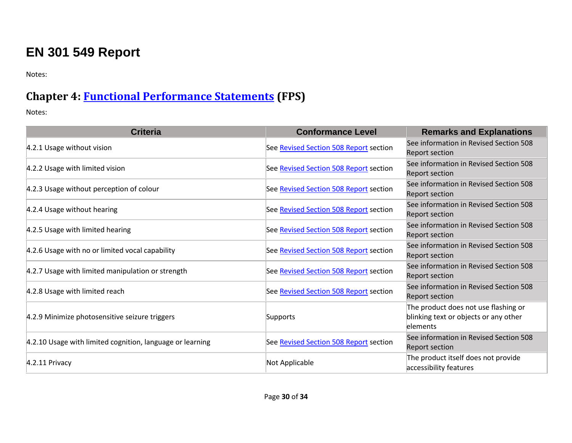# **EN 301 549 Report**

Notes:

## **Chapter 4: [Functional Performance Statements](https://www.etsi.org/deliver/etsi_en/301500_301599/301549/03.01.01_60/en_301549v030101p.pdf#%5B%7B%22num%22%3A38%2C%22gen%22%3A0%7D%2C%7B%22name%22%3A%22XYZ%22%7D%2C54%2C747%2C0%5D) (FPS)**

| <b>Criteria</b>                                           | <b>Conformance Level</b>               | <b>Remarks and Explanations</b>                                                           |
|-----------------------------------------------------------|----------------------------------------|-------------------------------------------------------------------------------------------|
| 4.2.1 Usage without vision                                | See Revised Section 508 Report section | See information in Revised Section 508<br><b>Report section</b>                           |
| 4.2.2 Usage with limited vision                           | See Revised Section 508 Report section | See information in Revised Section 508<br><b>Report section</b>                           |
| 4.2.3 Usage without perception of colour                  | See Revised Section 508 Report section | See information in Revised Section 508<br><b>Report section</b>                           |
| 4.2.4 Usage without hearing                               | See Revised Section 508 Report section | See information in Revised Section 508<br><b>Report section</b>                           |
| 4.2.5 Usage with limited hearing                          | See Revised Section 508 Report section | See information in Revised Section 508<br><b>Report section</b>                           |
| 4.2.6 Usage with no or limited vocal capability           | See Revised Section 508 Report section | See information in Revised Section 508<br><b>Report section</b>                           |
| 4.2.7 Usage with limited manipulation or strength         | See Revised Section 508 Report section | See information in Revised Section 508<br>Report section                                  |
| 4.2.8 Usage with limited reach                            | See Revised Section 508 Report section | See information in Revised Section 508<br><b>Report section</b>                           |
| 4.2.9 Minimize photosensitive seizure triggers            | Supports                               | The product does not use flashing or<br>blinking text or objects or any other<br>elements |
| 4.2.10 Usage with limited cognition, language or learning | See Revised Section 508 Report section | See information in Revised Section 508<br><b>Report section</b>                           |
| 4.2.11 Privacy                                            | Not Applicable                         | The product itself does not provide<br>accessibility features                             |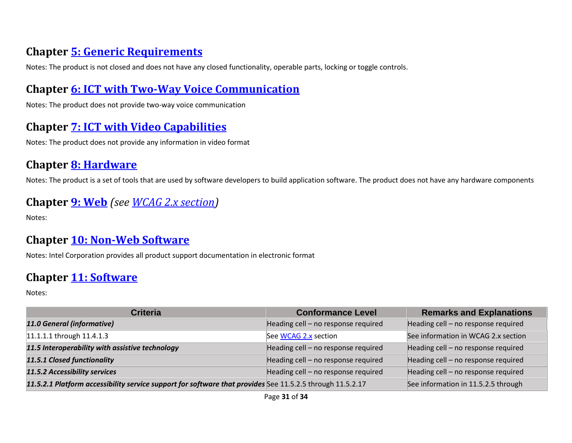## **Chapter [5: Generic Requirements](https://www.etsi.org/deliver/etsi_en/301500_301599/301549/03.01.01_60/en_301549v030101p.pdf#%5B%7B%22num%22%3A45%2C%22gen%22%3A0%7D%2C%7B%22name%22%3A%22XYZ%22%7D%2C54%2C747%2C0%5D)**

Notes: The product is not closed and does not have any closed functionality, operable parts, locking or toggle controls.

#### **Chapter [6: ICT with Two-Way Voice Communication](https://www.etsi.org/deliver/etsi_en/301500_301599/301549/03.01.01_60/en_301549v030101p.pdf#%5B%7B%22num%22%3A60%2C%22gen%22%3A0%7D%2C%7B%22name%22%3A%22XYZ%22%7D%2C54%2C747%2C0%5D)**

Notes: The product does not provide two-way voice communication

#### **Chapter [7: ICT with Video Capabilities](https://www.etsi.org/deliver/etsi_en/301500_301599/301549/03.01.01_60/en_301549v030101p.pdf#%5B%7B%22num%22%3A70%2C%22gen%22%3A0%7D%2C%7B%22name%22%3A%22XYZ%22%7D%2C54%2C747%2C0%5D)**

Notes: The product does not provide any information in video format

## **Chapter [8: Hardware](https://www.etsi.org/deliver/etsi_en/301500_301599/301549/03.01.01_60/en_301549v030101p.pdf#%5B%7B%22num%22%3A74%2C%22gen%22%3A0%7D%2C%7B%22name%22%3A%22XYZ%22%7D%2C54%2C747%2C0%5D)**

Notes: The product is a set of tools that are used by software developers to build application software. The product does not have any hardware components

#### **Chapter [9: Web](https://www.etsi.org/deliver/etsi_en/301500_301599/301549/03.01.01_60/en_301549v030101p.pdf#%5B%7B%22num%22%3A113%2C%22gen%22%3A0%7D%2C%7B%22name%22%3A%22XYZ%22%7D%2C54%2C747%2C0%5D)** *(see [WCAG 2.x](#page-2-0) section)*

Notes:

#### **Chapter [10: Non-Web Software](https://www.etsi.org/deliver/etsi_en/301500_301599/301549/03.01.01_60/en_301549v030101p.pdf#%5B%7B%22num%22%3A127%2C%22gen%22%3A0%7D%2C%7B%22name%22%3A%22XYZ%22%7D%2C54%2C747%2C0%5D)**

Notes: Intel Corporation provides all product support documentation in electronic format

#### **Chapter [11: Software](https://www.etsi.org/deliver/etsi_en/301500_301599/301549/03.01.01_60/en_301549v030101p.pdf#%5B%7B%22num%22%3A149%2C%22gen%22%3A0%7D%2C%7B%22name%22%3A%22XYZ%22%7D%2C54%2C747%2C0%5D)**

| <b>Criteria</b>                                                                                           | <b>Conformance Level</b>            | <b>Remarks and Explanations</b>     |
|-----------------------------------------------------------------------------------------------------------|-------------------------------------|-------------------------------------|
| 11.0 General (informative)                                                                                | Heading cell - no response required | Heading cell - no response required |
| 11.1.1.1 through 11.4.1.3                                                                                 | See WCAG 2.x section                | See information in WCAG 2.x section |
| 11.5 Interoperability with assistive technology                                                           | Heading cell - no response required | Heading cell - no response required |
| 11.5.1 Closed functionality                                                                               | Heading cell - no response required | Heading cell - no response required |
| 11.5.2 Accessibility services                                                                             | Heading cell - no response required | Heading cell - no response required |
| 11.5.2.1 Platform accessibility service support for software that provides See 11.5.2.5 through 11.5.2.17 |                                     | See information in 11.5.2.5 through |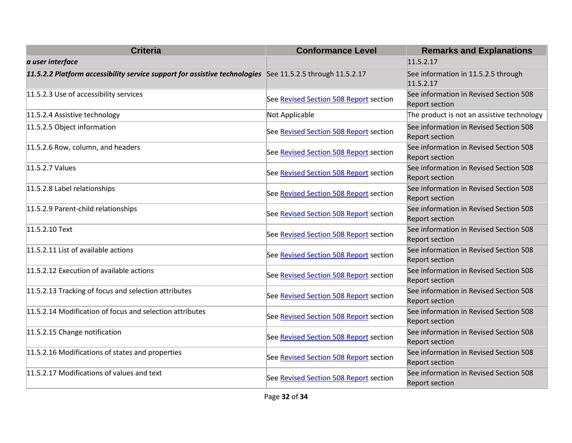| <b>Criteria</b>                                                                                           | <b>Conformance Level</b>               | <b>Remarks and Explanations</b>                                 |
|-----------------------------------------------------------------------------------------------------------|----------------------------------------|-----------------------------------------------------------------|
| a user interface                                                                                          |                                        | 11.5.2.17                                                       |
| 11.5.2.2 Platform accessibility service support for assistive technologies See 11.5.2.5 through 11.5.2.17 |                                        | See information in 11.5.2.5 through<br>11.5.2.17                |
| 11.5.2.3 Use of accessibility services                                                                    | See Revised Section 508 Report section | See information in Revised Section 508<br><b>Report section</b> |
| 11.5.2.4 Assistive technology                                                                             | Not Applicable                         | The product is not an assistive technology                      |
| 11.5.2.5 Object information                                                                               | See Revised Section 508 Report section | See information in Revised Section 508<br><b>Report section</b> |
| 11.5.2.6 Row, column, and headers                                                                         | See Revised Section 508 Report section | See information in Revised Section 508<br><b>Report section</b> |
| 11.5.2.7 Values                                                                                           | See Revised Section 508 Report section | See information in Revised Section 508<br><b>Report section</b> |
| 11.5.2.8 Label relationships                                                                              | See Revised Section 508 Report section | See information in Revised Section 508<br><b>Report section</b> |
| 11.5.2.9 Parent-child relationships                                                                       | See Revised Section 508 Report section | See information in Revised Section 508<br><b>Report section</b> |
| 11.5.2.10 Text                                                                                            | See Revised Section 508 Report section | See information in Revised Section 508<br><b>Report section</b> |
| 11.5.2.11 List of available actions                                                                       | See Revised Section 508 Report section | See information in Revised Section 508<br><b>Report section</b> |
| 11.5.2.12 Execution of available actions                                                                  | See Revised Section 508 Report section | See information in Revised Section 508<br><b>Report section</b> |
| 11.5.2.13 Tracking of focus and selection attributes                                                      | See Revised Section 508 Report section | See information in Revised Section 508<br><b>Report section</b> |
| 11.5.2.14 Modification of focus and selection attributes                                                  | See Revised Section 508 Report section | See information in Revised Section 508<br><b>Report section</b> |
| 11.5.2.15 Change notification                                                                             | See Revised Section 508 Report section | See information in Revised Section 508<br><b>Report section</b> |
| 11.5.2.16 Modifications of states and properties                                                          | See Revised Section 508 Report section | See information in Revised Section 508<br><b>Report section</b> |
| 11.5.2.17 Modifications of values and text                                                                | See Revised Section 508 Report section | See information in Revised Section 508<br><b>Report section</b> |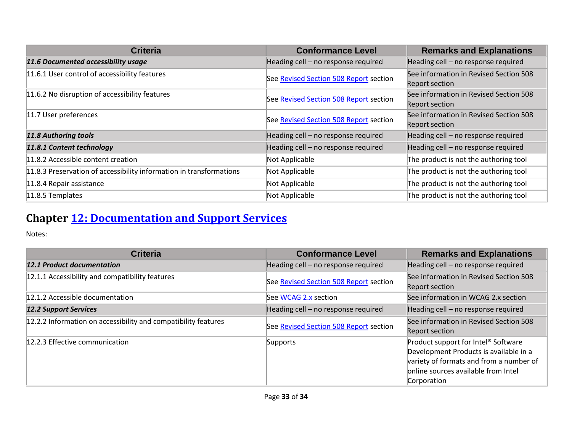| <b>Criteria</b>                                                     | <b>Conformance Level</b>               | <b>Remarks and Explanations</b>                          |
|---------------------------------------------------------------------|----------------------------------------|----------------------------------------------------------|
| 11.6 Documented accessibility usage                                 | Heading cell - no response required    | Heading cell - no response required                      |
| 11.6.1 User control of accessibility features                       | See Revised Section 508 Report section | See information in Revised Section 508<br>Report section |
| 11.6.2 No disruption of accessibility features                      | See Revised Section 508 Report section | See information in Revised Section 508<br>Report section |
| 11.7 User preferences                                               | See Revised Section 508 Report section | See information in Revised Section 508<br>Report section |
| 11.8 Authoring tools                                                | Heading cell - no response required    | Heading cell - no response required                      |
| 11.8.1 Content technology                                           | Heading cell - no response required    | Heading cell - no response required                      |
| 11.8.2 Accessible content creation                                  | Not Applicable                         | The product is not the authoring tool                    |
| 11.8.3 Preservation of accessibility information in transformations | Not Applicable                         | The product is not the authoring tool                    |
| 11.8.4 Repair assistance                                            | Not Applicable                         | The product is not the authoring tool                    |
| 11.8.5 Templates                                                    | Not Applicable                         | The product is not the authoring tool                    |

## **Chapter [12: Documentation and Support Services](https://www.etsi.org/deliver/etsi_en/301500_301599/301549/03.01.01_60/en_301549v030101p.pdf#%5B%7B%22num%22%3A187%2C%22gen%22%3A0%7D%2C%7B%22name%22%3A%22XYZ%22%7D%2C54%2C747%2C0%5D)**

| <b>Criteria</b>                                                | <b>Conformance Level</b>               | <b>Remarks and Explanations</b>                                                                                                                                                            |
|----------------------------------------------------------------|----------------------------------------|--------------------------------------------------------------------------------------------------------------------------------------------------------------------------------------------|
| 12.1 Product documentation                                     | Heading cell - no response required    | Heading cell - no response required                                                                                                                                                        |
| 12.1.1 Accessibility and compatibility features                | See Revised Section 508 Report section | See information in Revised Section 508<br>Report section                                                                                                                                   |
| 12.1.2 Accessible documentation                                | See WCAG 2.x section                   | See information in WCAG 2.x section                                                                                                                                                        |
| <b>12.2 Support Services</b>                                   | Heading cell - no response required    | Heading cell - no response required                                                                                                                                                        |
| 12.2.2 Information on accessibility and compatibility features | See Revised Section 508 Report section | See information in Revised Section 508<br>Report section                                                                                                                                   |
| 12.2.3 Effective communication                                 | Supports                               | Product support for Intel <sup>®</sup> Software<br>Development Products is available in a<br>variety of formats and from a number of<br>online sources available from Intel<br>Corporation |